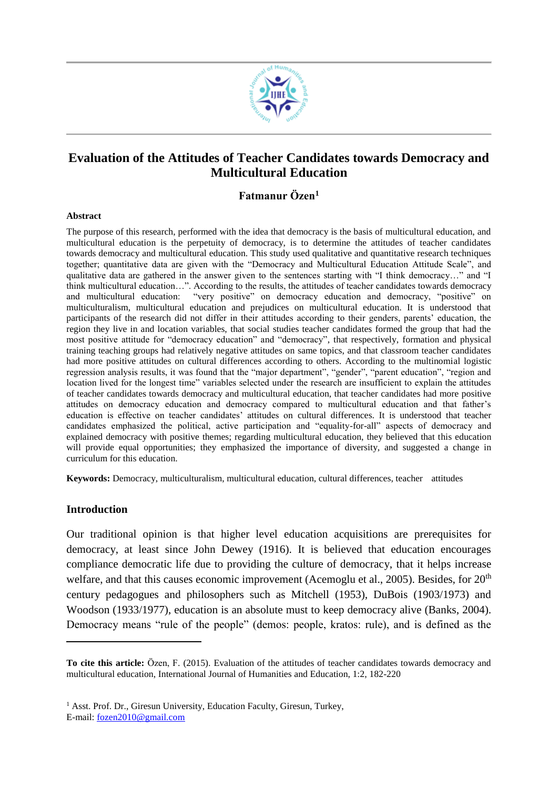

# **Evaluation of the Attitudes of Teacher Candidates towards Democracy and Multicultural Education**

# **Fatmanur Özen<sup>1</sup>**

#### **Abstract**

The purpose of this research, performed with the idea that democracy is the basis of multicultural education, and multicultural education is the perpetuity of democracy, is to determine the attitudes of teacher candidates towards democracy and multicultural education. This study used qualitative and quantitative research techniques together; quantitative data are given with the "Democracy and Multicultural Education Attitude Scale", and qualitative data are gathered in the answer given to the sentences starting with "I think democracy…" and "I think multicultural education…". According to the results, the attitudes of teacher candidates towards democracy and multicultural education: "very positive" on democracy education and democracy, "positive" on multiculturalism, multicultural education and prejudices on multicultural education. It is understood that participants of the research did not differ in their attitudes according to their genders, parents' education, the region they live in and location variables, that social studies teacher candidates formed the group that had the most positive attitude for "democracy education" and "democracy", that respectively, formation and physical training teaching groups had relatively negative attitudes on same topics, and that classroom teacher candidates had more positive attitudes on cultural differences according to others. According to the multinomial logistic regression analysis results, it was found that the "major department", "gender", "parent education", "region and location lived for the longest time" variables selected under the research are insufficient to explain the attitudes of teacher candidates towards democracy and multicultural education, that teacher candidates had more positive attitudes on democracy education and democracy compared to multicultural education and that father's education is effective on teacher candidates' attitudes on cultural differences. It is understood that teacher candidates emphasized the political, active participation and "equality-for-all" aspects of democracy and explained democracy with positive themes; regarding multicultural education, they believed that this education will provide equal opportunities; they emphasized the importance of diversity, and suggested a change in curriculum for this education.

**Keywords:** Democracy, multiculturalism, multicultural education, cultural differences, teacher attitudes

## **Introduction**

l

Our traditional opinion is that higher level education acquisitions are prerequisites for democracy, at least since John Dewey (1916). It is believed that education encourages compliance democratic life due to providing the culture of democracy, that it helps increase welfare, and that this causes economic improvement (Acemoglu et al., 2005). Besides, for  $20<sup>th</sup>$ century pedagogues and philosophers such as Mitchell (1953), DuBois (1903/1973) and Woodson (1933/1977), education is an absolute must to keep democracy alive (Banks, 2004). Democracy means "rule of the people" (demos: people, kratos: rule), and is defined as the

**To cite this article:** Özen, F. (2015). Evaluation of the attitudes of teacher candidates towards democracy and multicultural education, International Journal of Humanities and Education, 1:2, 182-220

<sup>&</sup>lt;sup>1</sup> Asst. Prof. Dr., Giresun University, Education Faculty, Giresun, Turkey, E-mail: [fozen2010@gmail.com](mailto:fozen2010@gmail.com)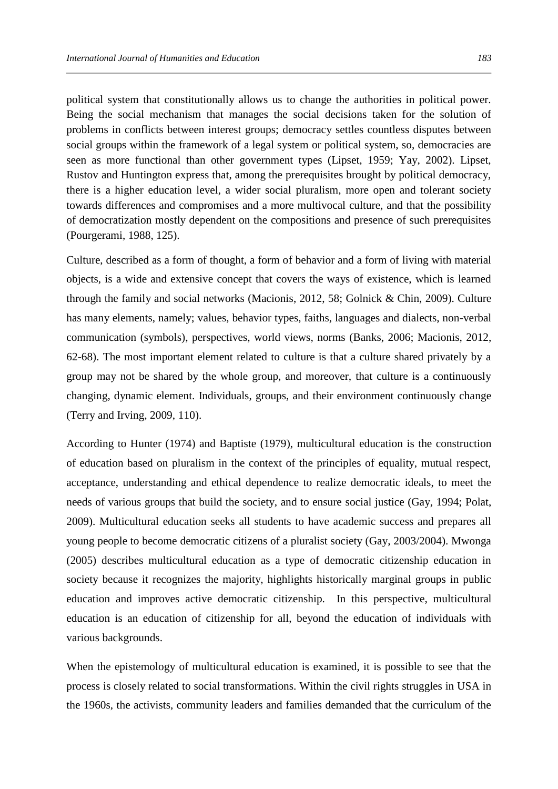political system that constitutionally allows us to change the authorities in political power. Being the social mechanism that manages the social decisions taken for the solution of problems in conflicts between interest groups; democracy settles countless disputes between social groups within the framework of a legal system or political system, so, democracies are seen as more functional than other government types (Lipset, 1959; Yay, 2002). Lipset, Rustov and Huntington express that, among the prerequisites brought by political democracy, there is a higher education level, a wider social pluralism, more open and tolerant society towards differences and compromises and a more multivocal culture, and that the possibility of democratization mostly dependent on the compositions and presence of such prerequisites (Pourgerami, 1988, 125).

Culture, described as a form of thought, a form of behavior and a form of living with material objects, is a wide and extensive concept that covers the ways of existence, which is learned through the family and social networks (Macionis, 2012, 58; Golnick & Chin, 2009). Culture has many elements, namely; values, behavior types, faiths, languages and dialects, non-verbal communication (symbols), perspectives, world views, norms (Banks, 2006; Macionis, 2012, 62-68). The most important element related to culture is that a culture shared privately by a group may not be shared by the whole group, and moreover, that culture is a continuously changing, dynamic element. Individuals, groups, and their environment continuously change (Terry and Irving, 2009, 110).

According to Hunter (1974) and Baptiste (1979), multicultural education is the construction of education based on pluralism in the context of the principles of equality, mutual respect, acceptance, understanding and ethical dependence to realize democratic ideals, to meet the needs of various groups that build the society, and to ensure social justice (Gay, 1994; Polat, 2009). Multicultural education seeks all students to have academic success and prepares all young people to become democratic citizens of a pluralist society (Gay, 2003/2004). Mwonga (2005) describes multicultural education as a type of democratic citizenship education in society because it recognizes the majority, highlights historically marginal groups in public education and improves active democratic citizenship. In this perspective, multicultural education is an education of citizenship for all, beyond the education of individuals with various backgrounds.

When the epistemology of multicultural education is examined, it is possible to see that the process is closely related to social transformations. Within the civil rights struggles in USA in the 1960s, the activists, community leaders and families demanded that the curriculum of the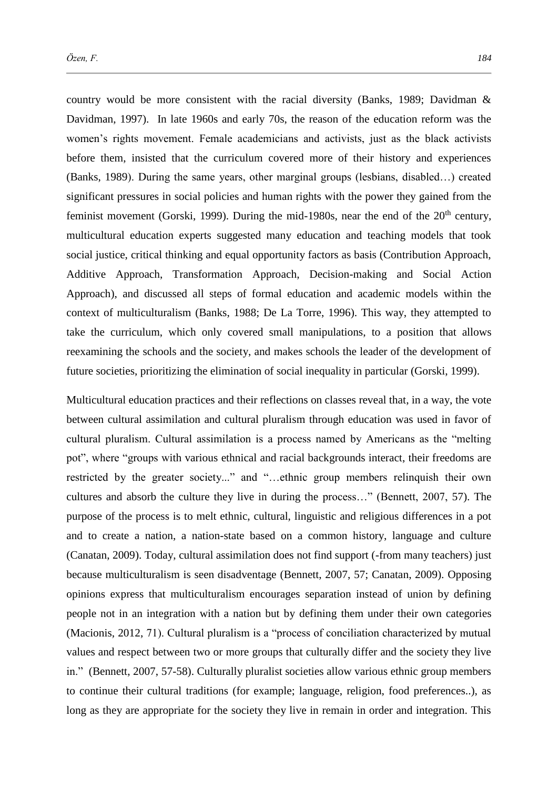country would be more consistent with the racial diversity (Banks, 1989; Davidman & Davidman, 1997). In late 1960s and early 70s, the reason of the education reform was the women's rights movement. Female academicians and activists, just as the black activists before them, insisted that the curriculum covered more of their history and experiences (Banks, 1989). During the same years, other marginal groups (lesbians, disabled…) created significant pressures in social policies and human rights with the power they gained from the feminist movement (Gorski, 1999). During the mid-1980s, near the end of the  $20<sup>th</sup>$  century, multicultural education experts suggested many education and teaching models that took social justice, critical thinking and equal opportunity factors as basis (Contribution Approach, Additive Approach, Transformation Approach, Decision-making and Social Action Approach), and discussed all steps of formal education and academic models within the context of multiculturalism (Banks, 1988; De La Torre, 1996). This way, they attempted to take the curriculum, which only covered small manipulations, to a position that allows reexamining the schools and the society, and makes schools the leader of the development of future societies, prioritizing the elimination of social inequality in particular (Gorski, 1999).

Multicultural education practices and their reflections on classes reveal that, in a way, the vote between cultural assimilation and cultural pluralism through education was used in favor of cultural pluralism. Cultural assimilation is a process named by Americans as the "melting pot", where "groups with various ethnical and racial backgrounds interact, their freedoms are restricted by the greater society..." and "…ethnic group members relinquish their own cultures and absorb the culture they live in during the process…" (Bennett, 2007, 57). The purpose of the process is to melt ethnic, cultural, linguistic and religious differences in a pot and to create a nation, a nation-state based on a common history, language and culture (Canatan, 2009). Today, cultural assimilation does not find support (-from many teachers) just because multiculturalism is seen disadventage (Bennett, 2007, 57; Canatan, 2009). Opposing opinions express that multiculturalism encourages separation instead of union by defining people not in an integration with a nation but by defining them under their own categories (Macionis, 2012, 71). Cultural pluralism is a "process of conciliation characterized by mutual values and respect between two or more groups that culturally differ and the society they live in." (Bennett, 2007, 57-58). Culturally pluralist societies allow various ethnic group members to continue their cultural traditions (for example; language, religion, food preferences..), as long as they are appropriate for the society they live in remain in order and integration. This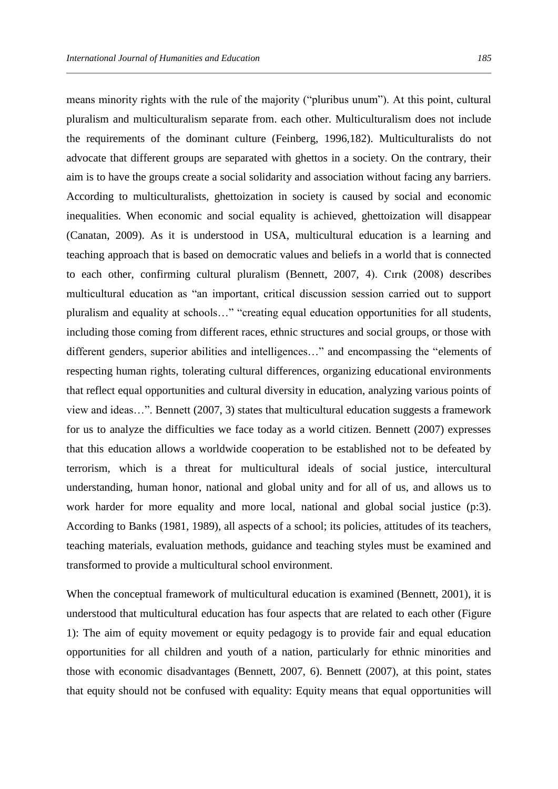means minority rights with the rule of the majority ("pluribus unum"). At this point, cultural pluralism and multiculturalism separate from. each other. Multiculturalism does not include the requirements of the dominant culture (Feinberg, 1996,182). Multiculturalists do not advocate that different groups are separated with ghettos in a society. On the contrary, their aim is to have the groups create a social solidarity and association without facing any barriers. According to multiculturalists, ghettoization in society is caused by social and economic inequalities. When economic and social equality is achieved, ghettoization will disappear (Canatan, 2009). As it is understood in USA, multicultural education is a learning and teaching approach that is based on democratic values and beliefs in a world that is connected to each other, confirming cultural pluralism (Bennett, 2007, 4). Cırık (2008) describes multicultural education as "an important, critical discussion session carried out to support pluralism and equality at schools…" "creating equal education opportunities for all students, including those coming from different races, ethnic structures and social groups, or those with different genders, superior abilities and intelligences…" and encompassing the "elements of respecting human rights, tolerating cultural differences, organizing educational environments that reflect equal opportunities and cultural diversity in education, analyzing various points of view and ideas…". Bennett (2007, 3) states that multicultural education suggests a framework for us to analyze the difficulties we face today as a world citizen. Bennett (2007) expresses that this education allows a worldwide cooperation to be established not to be defeated by terrorism, which is a threat for multicultural ideals of social justice, intercultural understanding, human honor, national and global unity and for all of us, and allows us to work harder for more equality and more local, national and global social justice (p:3). According to Banks (1981, 1989), all aspects of a school; its policies, attitudes of its teachers, teaching materials, evaluation methods, guidance and teaching styles must be examined and transformed to provide a multicultural school environment.

When the conceptual framework of multicultural education is examined (Bennett, 2001), it is understood that multicultural education has four aspects that are related to each other (Figure 1): The aim of equity movement or equity pedagogy is to provide fair and equal education opportunities for all children and youth of a nation, particularly for ethnic minorities and those with economic disadvantages (Bennett, 2007, 6). Bennett (2007), at this point, states that equity should not be confused with equality: Equity means that equal opportunities will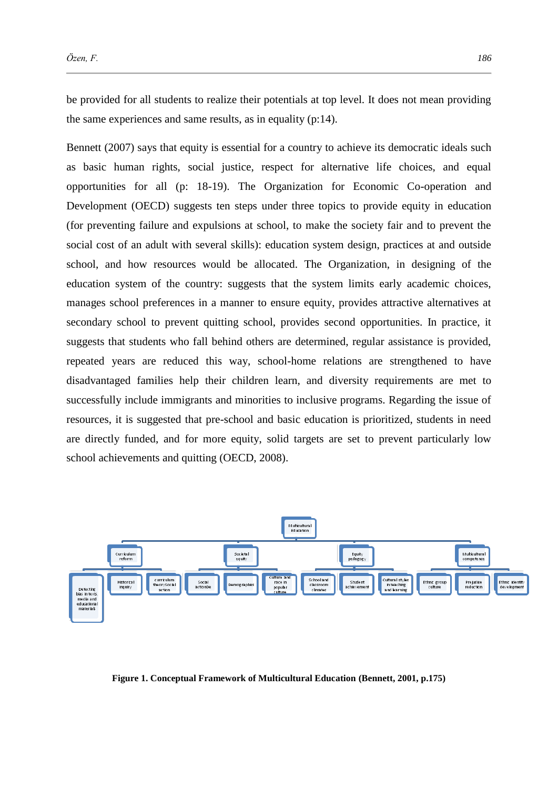be provided for all students to realize their potentials at top level. It does not mean providing the same experiences and same results, as in equality (p:14).

Bennett (2007) says that equity is essential for a country to achieve its democratic ideals such as basic human rights, social justice, respect for alternative life choices, and equal opportunities for all (p: 18-19). The Organization for Economic Co-operation and Development (OECD) suggests ten steps under three topics to provide equity in education (for preventing failure and expulsions at school, to make the society fair and to prevent the social cost of an adult with several skills): education system design, practices at and outside school, and how resources would be allocated. The Organization, in designing of the education system of the country: suggests that the system limits early academic choices, manages school preferences in a manner to ensure equity, provides attractive alternatives at secondary school to prevent quitting school, provides second opportunities. In practice, it suggests that students who fall behind others are determined, regular assistance is provided, repeated years are reduced this way, school-home relations are strengthened to have disadvantaged families help their children learn, and diversity requirements are met to successfully include immigrants and minorities to inclusive programs. Regarding the issue of resources, it is suggested that pre-school and basic education is prioritized, students in need are directly funded, and for more equity, solid targets are set to prevent particularly low school achievements and quitting (OECD, 2008).



**Figure 1. Conceptual Framework of Multicultural Education (Bennett, 2001, p.175)**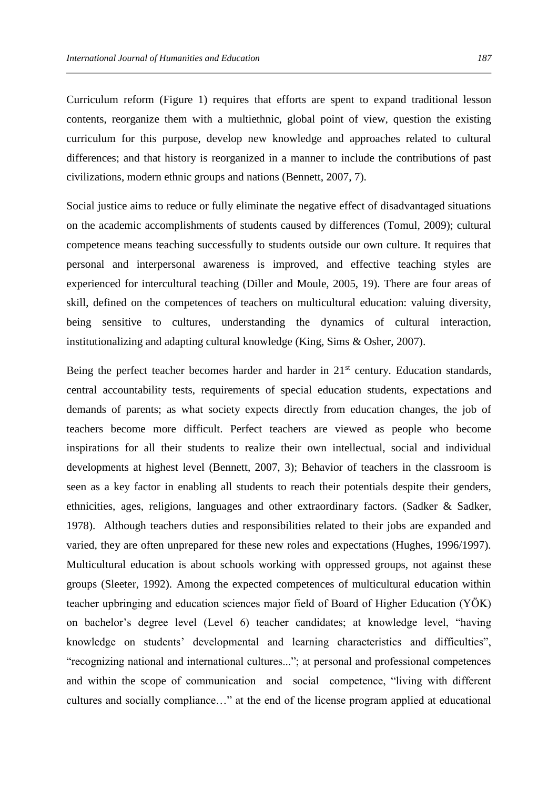Curriculum reform (Figure 1) requires that efforts are spent to expand traditional lesson contents, reorganize them with a multiethnic, global point of view, question the existing curriculum for this purpose, develop new knowledge and approaches related to cultural differences; and that history is reorganized in a manner to include the contributions of past civilizations, modern ethnic groups and nations (Bennett, 2007, 7).

Social justice aims to reduce or fully eliminate the negative effect of disadvantaged situations on the academic accomplishments of students caused by differences (Tomul, 2009); cultural competence means teaching successfully to students outside our own culture. It requires that personal and interpersonal awareness is improved, and effective teaching styles are experienced for intercultural teaching (Diller and Moule, 2005, 19). There are four areas of skill, defined on the competences of teachers on multicultural education: valuing diversity, being sensitive to cultures, understanding the dynamics of cultural interaction, institutionalizing and adapting cultural knowledge (King, Sims & Osher, 2007).

Being the perfect teacher becomes harder and harder in  $21<sup>st</sup>$  century. Education standards, central accountability tests, requirements of special education students, expectations and demands of parents; as what society expects directly from education changes, the job of teachers become more difficult. Perfect teachers are viewed as people who become inspirations for all their students to realize their own intellectual, social and individual developments at highest level (Bennett, 2007, 3); Behavior of teachers in the classroom is seen as a key factor in enabling all students to reach their potentials despite their genders, ethnicities, ages, religions, languages and other extraordinary factors. (Sadker & Sadker, 1978). Although teachers duties and responsibilities related to their jobs are expanded and varied, they are often unprepared for these new roles and expectations (Hughes, 1996/1997). Multicultural education is about schools working with oppressed groups, not against these groups (Sleeter, 1992). Among the expected competences of multicultural education within teacher upbringing and education sciences major field of Board of Higher Education (YÖK) on bachelor's degree level (Level 6) teacher candidates; at knowledge level, "having knowledge on students' developmental and learning characteristics and difficulties", "recognizing national and international cultures..."; at personal and professional competences and within the scope of communication and social competence, "living with different cultures and socially compliance…" at the end of the license program applied at educational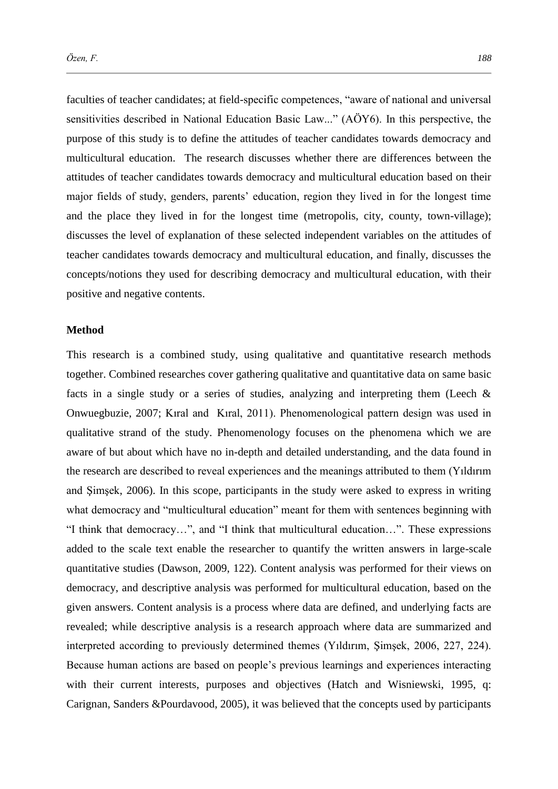faculties of teacher candidates; at field-specific competences, "aware of national and universal sensitivities described in National Education Basic Law..." (AÖY6). In this perspective, the purpose of this study is to define the attitudes of teacher candidates towards democracy and multicultural education. The research discusses whether there are differences between the attitudes of teacher candidates towards democracy and multicultural education based on their major fields of study, genders, parents' education, region they lived in for the longest time and the place they lived in for the longest time (metropolis, city, county, town-village); discusses the level of explanation of these selected independent variables on the attitudes of teacher candidates towards democracy and multicultural education, and finally, discusses the concepts/notions they used for describing democracy and multicultural education, with their positive and negative contents.

#### **Method**

This research is a combined study, using qualitative and quantitative research methods together. Combined researches cover gathering qualitative and quantitative data on same basic facts in a single study or a series of studies, analyzing and interpreting them (Leech  $\&$ Onwuegbuzie, 2007; Kıral and Kıral, 2011). Phenomenological pattern design was used in qualitative strand of the study. Phenomenology focuses on the phenomena which we are aware of but about which have no in-depth and detailed understanding, and the data found in the research are described to reveal experiences and the meanings attributed to them (Yıldırım and Şimşek, 2006). In this scope, participants in the study were asked to express in writing what democracy and "multicultural education" meant for them with sentences beginning with "I think that democracy…", and "I think that multicultural education…". These expressions added to the scale text enable the researcher to quantify the written answers in large-scale quantitative studies (Dawson, 2009, 122). Content analysis was performed for their views on democracy, and descriptive analysis was performed for multicultural education, based on the given answers. Content analysis is a process where data are defined, and underlying facts are revealed; while descriptive analysis is a research approach where data are summarized and interpreted according to previously determined themes (Yıldırım, Şimşek, 2006, 227, 224). Because human actions are based on people's previous learnings and experiences interacting with their current interests, purposes and objectives (Hatch and Wisniewski, 1995, q: Carignan, Sanders &Pourdavood, 2005), it was believed that the concepts used by participants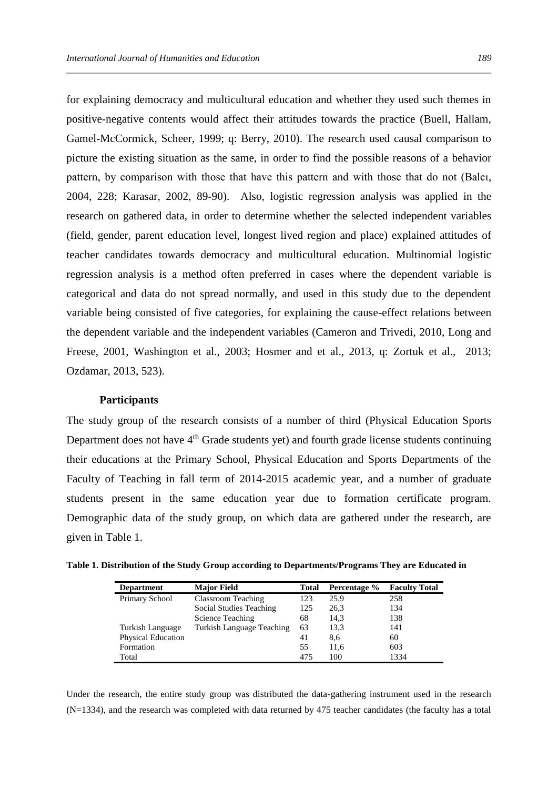for explaining democracy and multicultural education and whether they used such themes in positive-negative contents would affect their attitudes towards the practice (Buell, Hallam, Gamel-McCormick, Scheer, 1999; q: Berry, 2010). The research used causal comparison to picture the existing situation as the same, in order to find the possible reasons of a behavior pattern, by comparison with those that have this pattern and with those that do not (Balcı, 2004, 228; Karasar, 2002, 89-90). Also, logistic regression analysis was applied in the research on gathered data, in order to determine whether the selected independent variables (field, gender, parent education level, longest lived region and place) explained attitudes of teacher candidates towards democracy and multicultural education. Multinomial logistic regression analysis is a method often preferred in cases where the dependent variable is categorical and data do not spread normally, and used in this study due to the dependent variable being consisted of five categories, for explaining the cause-effect relations between the dependent variable and the independent variables (Cameron and Trivedi, 2010, Long and Freese, 2001, Washington et al., 2003; Hosmer and et al., 2013, q: Zortuk et al., 2013; Ozdamar, 2013, 523).

## **Participants**

The study group of the research consists of a number of third (Physical Education Sports Department does not have  $4<sup>th</sup>$  Grade students yet) and fourth grade license students continuing their educations at the Primary School, Physical Education and Sports Departments of the Faculty of Teaching in fall term of 2014-2015 academic year, and a number of graduate students present in the same education year due to formation certificate program. Demographic data of the study group, on which data are gathered under the research, are given in Table 1.

| Table 1. Distribution of the Study Group according to Departments/Programs They are Educated in |  |  |  |
|-------------------------------------------------------------------------------------------------|--|--|--|
|-------------------------------------------------------------------------------------------------|--|--|--|

| <b>Department</b>         | <b>Major Field</b>        | <b>Total</b> | Percentage % | <b>Faculty Total</b> |
|---------------------------|---------------------------|--------------|--------------|----------------------|
| Primary School            | <b>Classroom Teaching</b> | 123          | 25,9         | 258                  |
|                           | Social Studies Teaching   | 125          | 26,3         | 134                  |
|                           | Science Teaching          | 68           | 14,3         | 138                  |
| Turkish Language          | Turkish Language Teaching | 63           | 13.3         | 141                  |
| <b>Physical Education</b> |                           | 41           | 8,6          | 60                   |
| Formation                 |                           | 55           | 11,6         | 603                  |
| Total                     |                           | 475          | 100          | 1334                 |

Under the research, the entire study group was distributed the data-gathering instrument used in the research (N=1334), and the research was completed with data returned by 475 teacher candidates (the faculty has a total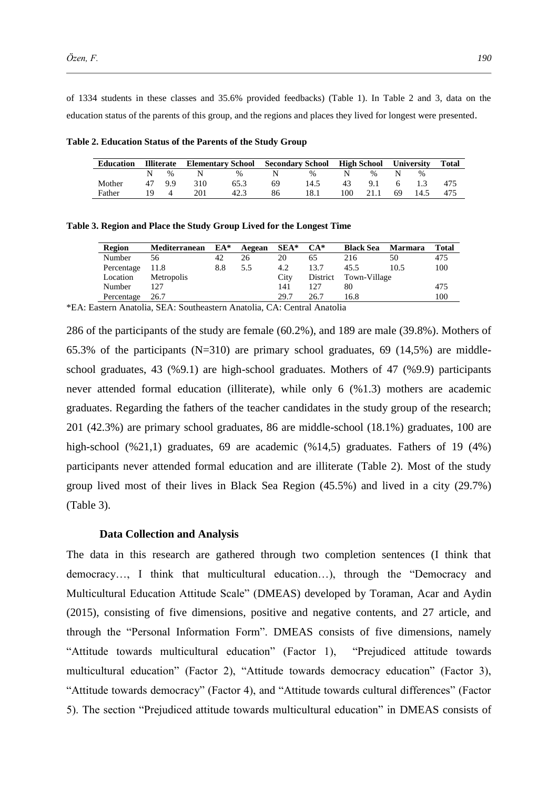of 1334 students in these classes and 35.6% provided feedbacks) (Table 1). In Table 2 and 3, data on the education status of the parents of this group, and the regions and places they lived for longest were presented.

**Table 2. Education Status of the Parents of the Study Group** 

| <b>Education</b> | <b>Illiterate</b> | <b>Elementary School</b>                    |      | Secondary School High School |      |     |       | <b>University</b> |                | <b>Total</b> |
|------------------|-------------------|---------------------------------------------|------|------------------------------|------|-----|-------|-------------------|----------------|--------------|
|                  | $\%$              | $\mathbf N$ and $\mathbf N$ and $\mathbf N$ | $\%$ |                              | $\%$ | N.  | $\%$  | N                 | $\%$           |              |
| Mother           | 47 9.9            | 310                                         | 65.3 | 69                           | 14.5 | 43  | 9.1 6 |                   | $\overline{1}$ | 475          |
| Father           |                   | 201                                         | 42.3 | 86                           | 18.1 | 100 | 21.1  | -69               | 14.5           | 475          |

**Table 3. Region and Place the Study Group Lived for the Longest Time**

| Region     | Mediterranean | $EA^*$ | Aegean | $SEA*$ | $CA^*$   | <b>Black Sea</b> | <b>Marmara</b> | Total |
|------------|---------------|--------|--------|--------|----------|------------------|----------------|-------|
| Number     | 56            | 42     | 26     | 20     | 65       | 216              | 50             | 475   |
| Percentage | 11.8          | 8.8    | 5.5    | 4.2    | 13.7     | 45.5             | 10.5           | 100   |
| Location   | Metropolis    |        |        | City   | District | Town-Village     |                |       |
| Number     | 127           |        |        | 141    | 127      | 80               |                | 475   |
| Percentage | 26.7          |        |        | 29.7   | 26.7     | 16.8             |                | 100   |

\*EA: Eastern Anatolia, SEA: Southeastern Anatolia, CA: Central Anatolia

286 of the participants of the study are female (60.2%), and 189 are male (39.8%). Mothers of 65.3% of the participants  $(N=310)$  are primary school graduates, 69 (14,5%) are middleschool graduates, 43 (%9.1) are high-school graduates. Mothers of 47 (%9.9) participants never attended formal education (illiterate), while only 6 (%1.3) mothers are academic graduates. Regarding the fathers of the teacher candidates in the study group of the research; 201 (42.3%) are primary school graduates, 86 are middle-school (18.1%) graduates, 100 are high-school (%21,1) graduates, 69 are academic (%14,5) graduates. Fathers of 19 (4%) participants never attended formal education and are illiterate (Table 2). Most of the study group lived most of their lives in Black Sea Region (45.5%) and lived in a city (29.7%) (Table 3).

#### **Data Collection and Analysis**

The data in this research are gathered through two completion sentences (I think that democracy…, I think that multicultural education…), through the "Democracy and Multicultural Education Attitude Scale" (DMEAS) developed by Toraman, Acar and Aydin (2015), consisting of five dimensions, positive and negative contents, and 27 article, and through the "Personal Information Form". DMEAS consists of five dimensions, namely "Attitude towards multicultural education" (Factor 1), "Prejudiced attitude towards multicultural education" (Factor 2), "Attitude towards democracy education" (Factor 3), "Attitude towards democracy" (Factor 4), and "Attitude towards cultural differences" (Factor 5). The section "Prejudiced attitude towards multicultural education" in DMEAS consists of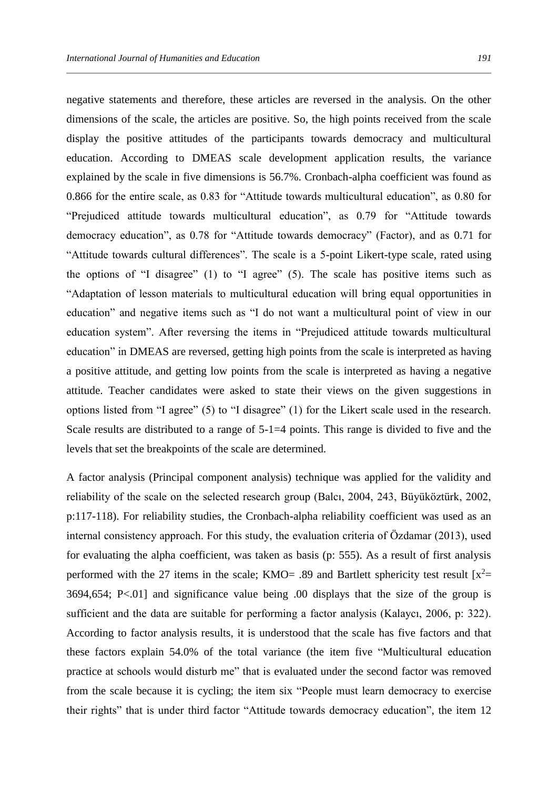negative statements and therefore, these articles are reversed in the analysis. On the other dimensions of the scale, the articles are positive. So, the high points received from the scale display the positive attitudes of the participants towards democracy and multicultural education. According to DMEAS scale development application results, the variance explained by the scale in five dimensions is 56.7%. Cronbach-alpha coefficient was found as 0.866 for the entire scale, as 0.83 for "Attitude towards multicultural education", as 0.80 for "Prejudiced attitude towards multicultural education", as 0.79 for "Attitude towards democracy education", as 0.78 for "Attitude towards democracy" (Factor), and as 0.71 for "Attitude towards cultural differences". The scale is a 5-point Likert-type scale, rated using the options of "I disagree" (1) to "I agree" (5). The scale has positive items such as "Adaptation of lesson materials to multicultural education will bring equal opportunities in education" and negative items such as "I do not want a multicultural point of view in our education system". After reversing the items in "Prejudiced attitude towards multicultural education" in DMEAS are reversed, getting high points from the scale is interpreted as having a positive attitude, and getting low points from the scale is interpreted as having a negative attitude. Teacher candidates were asked to state their views on the given suggestions in options listed from "I agree" (5) to "I disagree" (1) for the Likert scale used in the research. Scale results are distributed to a range of  $5$ -1=4 points. This range is divided to five and the levels that set the breakpoints of the scale are determined.

A factor analysis (Principal component analysis) technique was applied for the validity and reliability of the scale on the selected research group (Balcı, 2004, 243, Büyüköztürk, 2002, p:117-118). For reliability studies, the Cronbach-alpha reliability coefficient was used as an internal consistency approach. For this study, the evaluation criteria of Özdamar (2013), used for evaluating the alpha coefficient, was taken as basis (p: 555). As a result of first analysis performed with the 27 items in the scale; KMO= .89 and Bartlett sphericity test result  $[x^2=$ 3694,654; P<.01] and significance value being .00 displays that the size of the group is sufficient and the data are suitable for performing a factor analysis (Kalaycı, 2006, p: 322). According to factor analysis results, it is understood that the scale has five factors and that these factors explain 54.0% of the total variance (the item five "Multicultural education practice at schools would disturb me" that is evaluated under the second factor was removed from the scale because it is cycling; the item six "People must learn democracy to exercise their rights" that is under third factor "Attitude towards democracy education", the item 12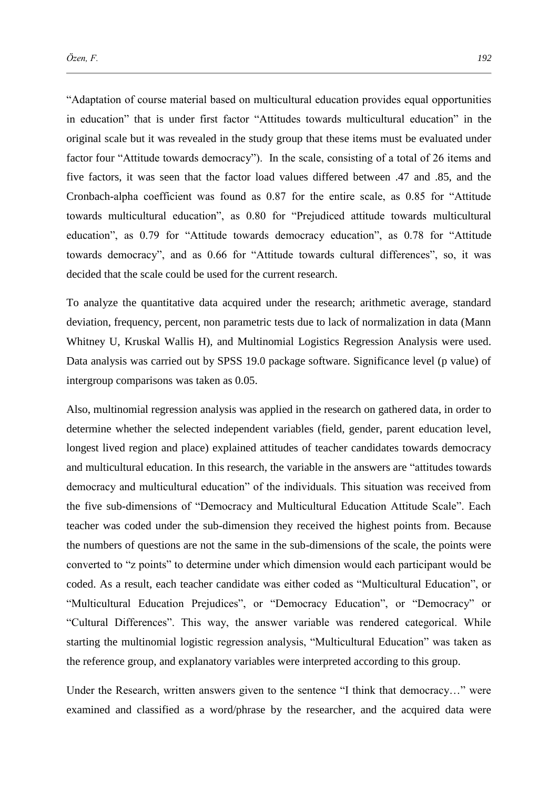"Adaptation of course material based on multicultural education provides equal opportunities in education" that is under first factor "Attitudes towards multicultural education" in the original scale but it was revealed in the study group that these items must be evaluated under factor four "Attitude towards democracy"). In the scale, consisting of a total of 26 items and five factors, it was seen that the factor load values differed between .47 and .85, and the Cronbach-alpha coefficient was found as 0.87 for the entire scale, as 0.85 for "Attitude towards multicultural education", as 0.80 for "Prejudiced attitude towards multicultural education", as 0.79 for "Attitude towards democracy education", as 0.78 for "Attitude towards democracy", and as 0.66 for "Attitude towards cultural differences", so, it was decided that the scale could be used for the current research.

To analyze the quantitative data acquired under the research; arithmetic average, standard deviation, frequency, percent, non parametric tests due to lack of normalization in data (Mann Whitney U, Kruskal Wallis H), and Multinomial Logistics Regression Analysis were used. Data analysis was carried out by SPSS 19.0 package software. Significance level (p value) of intergroup comparisons was taken as 0.05.

Also, multinomial regression analysis was applied in the research on gathered data, in order to determine whether the selected independent variables (field, gender, parent education level, longest lived region and place) explained attitudes of teacher candidates towards democracy and multicultural education. In this research, the variable in the answers are "attitudes towards democracy and multicultural education" of the individuals. This situation was received from the five sub-dimensions of "Democracy and Multicultural Education Attitude Scale". Each teacher was coded under the sub-dimension they received the highest points from. Because the numbers of questions are not the same in the sub-dimensions of the scale, the points were converted to "z points" to determine under which dimension would each participant would be coded. As a result, each teacher candidate was either coded as "Multicultural Education", or "Multicultural Education Prejudices", or "Democracy Education", or "Democracy" or "Cultural Differences". This way, the answer variable was rendered categorical. While starting the multinomial logistic regression analysis, "Multicultural Education" was taken as the reference group, and explanatory variables were interpreted according to this group.

Under the Research, written answers given to the sentence "I think that democracy…" were examined and classified as a word/phrase by the researcher, and the acquired data were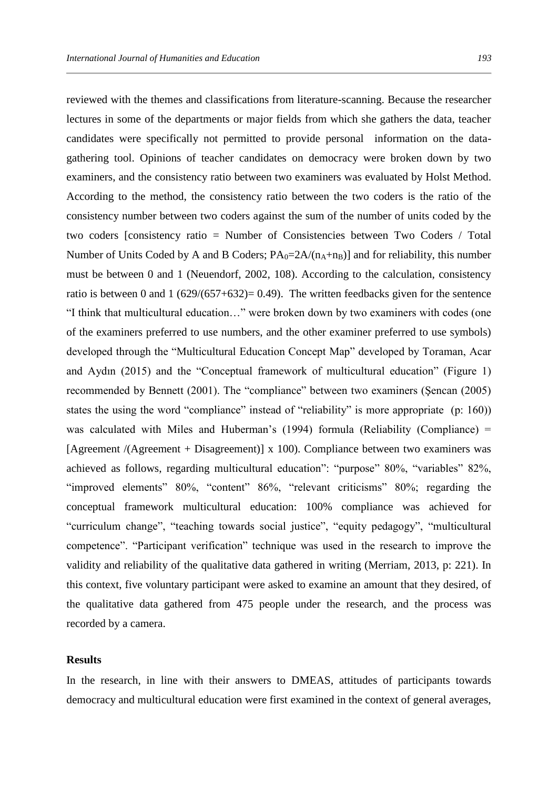reviewed with the themes and classifications from literature-scanning. Because the researcher lectures in some of the departments or major fields from which she gathers the data, teacher candidates were specifically not permitted to provide personal information on the datagathering tool. Opinions of teacher candidates on democracy were broken down by two examiners, and the consistency ratio between two examiners was evaluated by Holst Method. According to the method, the consistency ratio between the two coders is the ratio of the consistency number between two coders against the sum of the number of units coded by the two coders [consistency ratio = Number of Consistencies between Two Coders / Total Number of Units Coded by A and B Coders;  $PA_0=2A/(n_A+n_B)$ ] and for reliability, this number must be between 0 and 1 (Neuendorf, 2002, 108). According to the calculation, consistency ratio is between 0 and 1  $(629/(657+632)= 0.49)$ . The written feedbacks given for the sentence "I think that multicultural education…" were broken down by two examiners with codes (one of the examiners preferred to use numbers, and the other examiner preferred to use symbols) developed through the "Multicultural Education Concept Map" developed by Toraman, Acar and Aydın (2015) and the "Conceptual framework of multicultural education" (Figure 1) recommended by Bennett (2001). The "compliance" between two examiners (Şencan (2005) states the using the word "compliance" instead of "reliability" is more appropriate (p: 160)) was calculated with Miles and Huberman's (1994) formula (Reliability (Compliance) = [Agreement /(Agreement + Disagreement)] x 100). Compliance between two examiners was achieved as follows, regarding multicultural education": "purpose" 80%, "variables" 82%, "improved elements" 80%, "content" 86%, "relevant criticisms" 80%; regarding the conceptual framework multicultural education: 100% compliance was achieved for "curriculum change", "teaching towards social justice", "equity pedagogy", "multicultural competence". "Participant verification" technique was used in the research to improve the validity and reliability of the qualitative data gathered in writing (Merriam, 2013, p: 221). In this context, five voluntary participant were asked to examine an amount that they desired, of the qualitative data gathered from 475 people under the research, and the process was recorded by a camera.

#### **Results**

In the research, in line with their answers to DMEAS, attitudes of participants towards democracy and multicultural education were first examined in the context of general averages,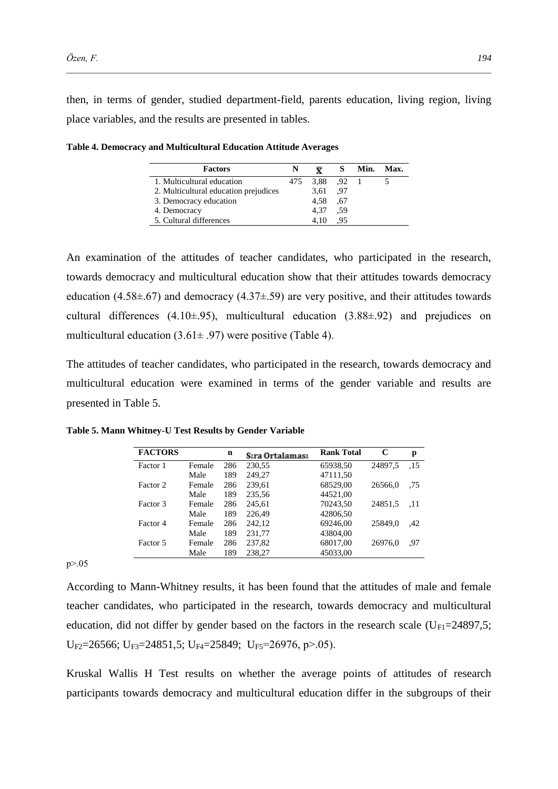then, in terms of gender, studied department-field, parents education, living region, living place variables, and the results are presented in tables.

| <b>Factors</b>                        | N   |          | S   | Min. Max. |
|---------------------------------------|-----|----------|-----|-----------|
| 1. Multicultural education            | 475 | 3,88 .92 |     |           |
| 2. Multicultural education prejudices |     | 3,61     | .97 |           |
| 3. Democracy education                |     | 4.58     | .67 |           |
| 4. Democracy                          |     | 4.37     | .59 |           |
| 5. Cultural differences               |     | 4.10     | .95 |           |

**Table 4. Democracy and Multicultural Education Attitude Averages** 

An examination of the attitudes of teacher candidates, who participated in the research, towards democracy and multicultural education show that their attitudes towards democracy education (4.58 $\pm$ .67) and democracy (4.37 $\pm$ .59) are very positive, and their attitudes towards cultural differences  $(4.10\pm 95)$ , multicultural education  $(3.88\pm 92)$  and prejudices on multicultural education  $(3.61 \pm .97)$  were positive (Table 4).

The attitudes of teacher candidates, who participated in the research, towards democracy and multicultural education were examined in terms of the gender variable and results are presented in Table 5.

| <b>FACTORS</b> |        | n   | Sıra Ortalaması | <b>Rank Total</b> | C       | p   |
|----------------|--------|-----|-----------------|-------------------|---------|-----|
| Factor 1       | Female | 286 | 230,55          | 65938,50          | 24897,5 | .15 |
|                | Male   | 189 | 249,27          | 47111,50          |         |     |
| Factor 2       | Female | 286 | 239.61          | 68529,00          | 26566.0 | .75 |
|                | Male   | 189 | 235,56          | 44521.00          |         |     |
| Factor 3       | Female | 286 | 245.61          | 70243,50          | 24851,5 | .11 |
|                | Male   | 189 | 226.49          | 42806,50          |         |     |
| Factor 4       | Female | 286 | 242.12          | 69246.00          | 25849.0 | .42 |
|                | Male   | 189 | 231,77          | 43804,00          |         |     |
| Factor 5       | Female | 286 | 237,82          | 68017,00          | 26976.0 | .97 |
|                | Male   | 189 | 238,27          | 45033,00          |         |     |

**Table 5. Mann Whitney-U Test Results by Gender Variable**

 $p > 0.05$ 

According to Mann-Whitney results, it has been found that the attitudes of male and female teacher candidates, who participated in the research, towards democracy and multicultural education, did not differ by gender based on the factors in the research scale ( $U_{F1}=24897,5$ ;  $U_{F2}=26566$ ;  $U_{F3}=24851,5$ ;  $U_{F4}=25849$ ;  $U_{F5}=26976$ ,  $p>05$ ).

Kruskal Wallis H Test results on whether the average points of attitudes of research participants towards democracy and multicultural education differ in the subgroups of their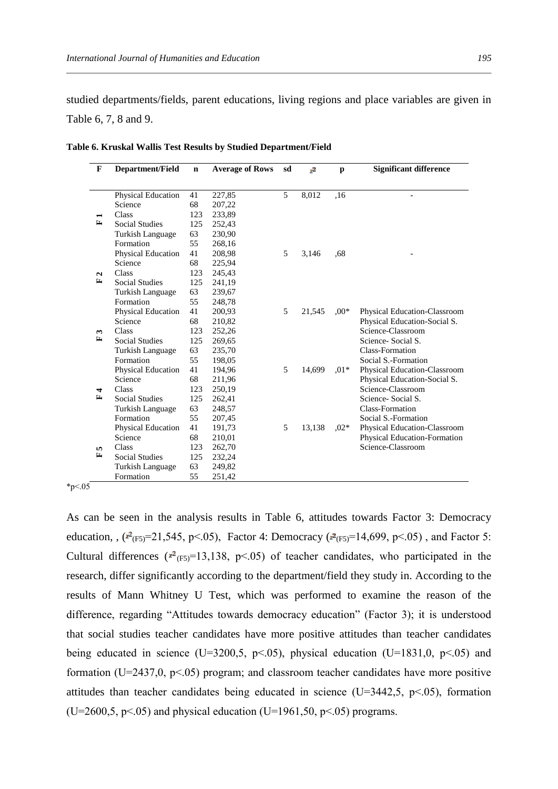studied departments/fields, parent educations, living regions and place variables are given in Table 6, 7, 8 and 9.

| F            | <b>Department/Field</b>   | $\mathbf n$ | <b>Average of Rows</b> | sd | ,2     | p       | <b>Significant difference</b> |
|--------------|---------------------------|-------------|------------------------|----|--------|---------|-------------------------------|
|              |                           |             |                        |    |        |         |                               |
|              | Physical Education        | 41          | 227,85                 | 5  | 8,012  | ,16     |                               |
|              | Science                   | 68          | 207,22                 |    |        |         |                               |
|              | Class                     | 123         | 233,89                 |    |        |         |                               |
| E            | <b>Social Studies</b>     | 125         | 252,43                 |    |        |         |                               |
|              | Turkish Language          | 63          | 230,90                 |    |        |         |                               |
|              | Formation                 | 55          | 268,16                 |    |        |         |                               |
|              | <b>Physical Education</b> | 41          | 208,98                 | 5  | 3,146  | .68     |                               |
|              | Science                   | 68          | 225,94                 |    |        |         |                               |
| $\mathbf{a}$ | Class                     | 123         | 245,43                 |    |        |         |                               |
| E            | <b>Social Studies</b>     | 125         | 241,19                 |    |        |         |                               |
|              | Turkish Language          | 63          | 239,67                 |    |        |         |                               |
|              | Formation                 | 55          | 248,78                 |    |        |         |                               |
|              | Physical Education        | 41          | 200,93                 | 5  | 21,545 | $0.00*$ | Physical Education-Classroom  |
|              | Science                   | 68          | 210,82                 |    |        |         | Physical Education-Social S.  |
| 3            | Class                     | 123         | 252,26                 |    |        |         | Science-Classroom             |
| ≃            | <b>Social Studies</b>     | 125         | 269,65                 |    |        |         | Science- Social S.            |
|              | Turkish Language          | 63          | 235,70                 |    |        |         | <b>Class-Formation</b>        |
|              | Formation                 | 55          | 198,05                 |    |        |         | Social S.-Formation           |
|              | Physical Education        | 41          | 194,96                 | 5  | 14,699 | $.01*$  | Physical Education-Classroom  |
|              | Science                   | 68          | 211,96                 |    |        |         | Physical Education-Social S.  |
| 4            | Class                     | 123         | 250,19                 |    |        |         | Science-Classroom             |
| $\mathbf{r}$ | <b>Social Studies</b>     | 125         | 262,41                 |    |        |         | Science- Social S.            |
|              | <b>Turkish Language</b>   | 63          | 248,57                 |    |        |         | <b>Class-Formation</b>        |
|              | Formation                 | 55          | 207,45                 |    |        |         | Social S.-Formation           |
|              | Physical Education        | 41          | 191,73                 | 5  | 13,138 | $0.02*$ | Physical Education-Classroom  |
|              | Science                   | 68          | 210,01                 |    |        |         | Physical Education-Formation  |
| n,           | Class                     | 123         | 262,70                 |    |        |         | Science-Classroom             |
| ≃            | <b>Social Studies</b>     | 125         | 232,24                 |    |        |         |                               |
|              | Turkish Language          | 63          | 249,82                 |    |        |         |                               |
|              | Formation                 | 55          | 251,42                 |    |        |         |                               |

**Table 6. Kruskal Wallis Test Results by Studied Department/Field** 

 $*p<.05$ 

As can be seen in the analysis results in Table 6, attitudes towards Factor 3: Democracy education, ,  $({}^{2}C_{F5}=21,545, p<.05)$ , Factor 4: Democracy  $({}^{2}C_{F5}=14,699, p<.05)$ , and Factor 5: Cultural differences ( $x^2$ <sub>(F5)</sub>=13,138, p < 05) of teacher candidates, who participated in the research, differ significantly according to the department/field they study in. According to the results of Mann Whitney U Test, which was performed to examine the reason of the difference, regarding "Attitudes towards democracy education" (Factor 3); it is understood that social studies teacher candidates have more positive attitudes than teacher candidates being educated in science (U=3200,5, p $\leq$ .05), physical education (U=1831,0, p $\leq$ .05) and formation (U=2437,0,  $p \le 0.05$ ) program; and classroom teacher candidates have more positive attitudes than teacher candidates being educated in science (U=3442,5, p˂.05), formation  $(U=2600, 5, p\le 0.05)$  and physical education  $(U=1961, 50, p\le 0.05)$  programs.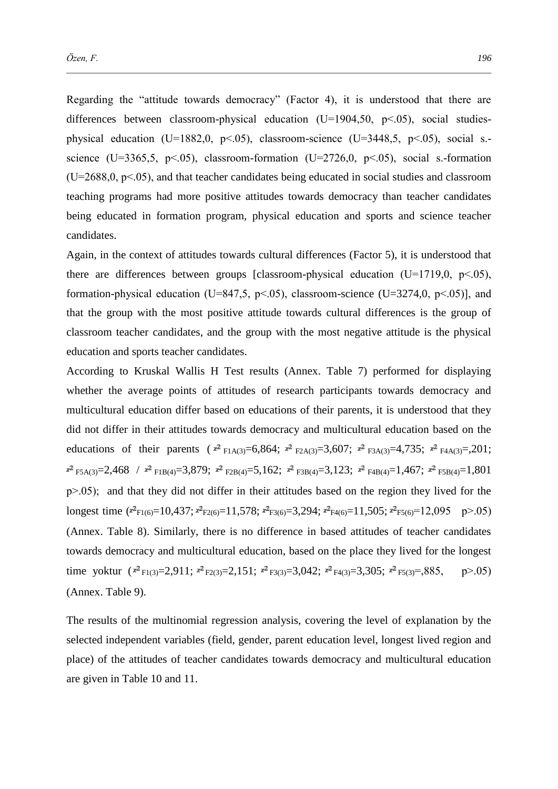Regarding the "attitude towards democracy" (Factor 4), it is understood that there are differences between classroom-physical education (U=1904,50, p < 05), social studiesphysical education (U=1882,0, p˂.05), classroom-science (U=3448,5, p˂.05), social s. science (U=3365,5, p $\leq$ .05), classroom-formation (U=2726,0, p $\leq$ .05), social s.-formation  $(U=2688,0, p<.05)$ , and that teacher candidates being educated in social studies and classroom teaching programs had more positive attitudes towards democracy than teacher candidates being educated in formation program, physical education and sports and science teacher candidates.

Again, in the context of attitudes towards cultural differences (Factor 5), it is understood that there are differences between groups [classroom-physical education  $(U=1719,0, p<.05)$ , formation-physical education (U=847.5,  $p<0.05$ ), classroom-science (U=3274.0,  $p<0.05$ )], and that the group with the most positive attitude towards cultural differences is the group of classroom teacher candidates, and the group with the most negative attitude is the physical education and sports teacher candidates.

According to Kruskal Wallis H Test results (Annex. Table 7) performed for displaying whether the average points of attitudes of research participants towards democracy and multicultural education differ based on educations of their parents, it is understood that they did not differ in their attitudes towards democracy and multicultural education based on the educations of their parents ( $x^2$ <sub>F1A(3)</sub>=6,864;  $x^2$ <sub>F2A(3)</sub>=3,607;  $x^2$ <sub>F3A(3)</sub>=4,735;  $x^2$ <sub>F4A(3)</sub>=,201;  $x^2$  F5A(3)=2,468 /  $x^2$  F1B(4)=3,879;  $x^2$  F2B(4)=5,162;  $x^2$  F3B(4)=3,123;  $x^2$  F4B(4)=1,467;  $x^2$  F5B(4)=1,801  $p > 0.05$ ); and that they did not differ in their attitudes based on the region they lived for the longest time  $(\overline{x}_{F1(6)}=10,437;\overline{x}_{F2(6)}=11,578;\overline{x}_{F3(6)}=3,294;\overline{x}_{F4(6)}=11,505;\overline{x}_{F5(6)}=12,095 \text{ p} > .05)$ (Annex. Table 8). Similarly, there is no difference in based attitudes of teacher candidates towards democracy and multicultural education, based on the place they lived for the longest time yoktur  $(x^2_{F1(3)}=2,911; x^2_{F2(3)}=2,151; x^2_{F3(3)}=3,042; x^2_{F4(3)}=3,305; x^2_{F5(3)}=385, p>05)$ (Annex. Table 9).

The results of the multinomial regression analysis, covering the level of explanation by the selected independent variables (field, gender, parent education level, longest lived region and place) of the attitudes of teacher candidates towards democracy and multicultural education are given in Table 10 and 11.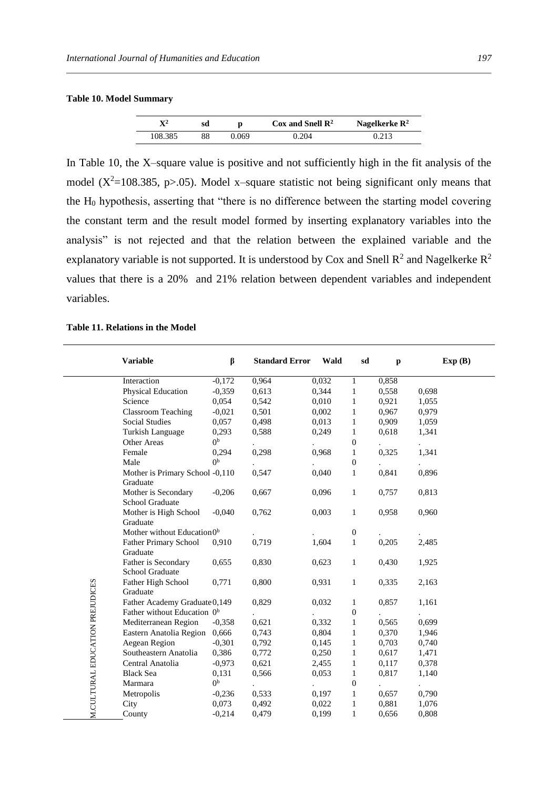#### **Table 10. Model Summary**

| $\mathbf{X}^2$ | sd |       | Cox and Snell $\mathbb{R}^2$ | Nagelkerke $\mathbb{R}^2$ |
|----------------|----|-------|------------------------------|---------------------------|
| 108.385        | 88 | ).069 | 0.204                        | 0.213                     |

In Table 10, the X–square value is positive and not sufficiently high in the fit analysis of the model ( $X^2$ =108.385, p>.05). Model x–square statistic not being significant only means that the H<sup>0</sup> hypothesis, asserting that "there is no difference between the starting model covering the constant term and the result model formed by inserting explanatory variables into the analysis" is not rejected and that the relation between the explained variable and the explanatory variable is not supported. It is understood by Cox and Snell  $R^2$  and Nagelkerke  $R^2$ values that there is a 20% and 21% relation between dependent variables and independent variables.

#### **Table 11. Relations in the Model**

|                                 | <b>Variable</b>                             | β              | <b>Standard Error</b> | Wald  | sd               | p     | Exp(B) |
|---------------------------------|---------------------------------------------|----------------|-----------------------|-------|------------------|-------|--------|
|                                 | Interaction                                 | $-0,172$       | 0,964                 | 0,032 | $\mathbf{1}$     | 0,858 |        |
|                                 | Physical Education                          | $-0,359$       | 0.613                 | 0,344 | $\mathbf{1}$     | 0,558 | 0,698  |
|                                 | Science                                     | 0,054          | 0,542                 | 0,010 | 1                | 0,921 | 1,055  |
|                                 | <b>Classroom Teaching</b>                   | $-0,021$       | 0,501                 | 0,002 | $\mathbf{1}$     | 0,967 | 0,979  |
|                                 | <b>Social Studies</b>                       | 0,057          | 0,498                 | 0,013 | $\mathbf{1}$     | 0,909 | 1,059  |
|                                 | Turkish Language                            | 0,293          | 0,588                 | 0,249 | $\mathbf{1}$     | 0,618 | 1,341  |
|                                 | Other Areas                                 | 0 <sub>p</sub> |                       |       | $\boldsymbol{0}$ |       |        |
|                                 | Female                                      | 0,294          | 0,298                 | 0,968 | $\mathbf{1}$     | 0,325 | 1,341  |
|                                 | Male                                        | 0 <sup>b</sup> |                       |       | $\boldsymbol{0}$ |       |        |
|                                 | Mother is Primary School -0,110<br>Graduate |                | 0,547                 | 0,040 | $\mathbf{1}$     | 0,841 | 0,896  |
|                                 | Mother is Secondary<br>School Graduate      | $-0,206$       | 0,667                 | 0,096 | $\mathbf{1}$     | 0,757 | 0,813  |
|                                 | Mother is High School<br>Graduate           | $-0,040$       | 0,762                 | 0,003 | $\mathbf{1}$     | 0,958 | 0,960  |
|                                 | Mother without Education <sup>0b</sup>      |                |                       |       | $\boldsymbol{0}$ |       |        |
|                                 | Father Primary School<br>Graduate           | 0,910          | 0,719                 | 1,604 | $\mathbf{1}$     | 0,205 | 2,485  |
|                                 | Father is Secondary<br>School Graduate      | 0,655          | 0,830                 | 0,623 | $\mathbf{1}$     | 0,430 | 1,925  |
| M.CULTURAL EDUCATION PREJUDICES | Father High School<br>Graduate              | 0,771          | 0,800                 | 0,931 | $\mathbf{1}$     | 0,335 | 2,163  |
|                                 | Father Academy Graduate 0,149               |                | 0,829                 | 0,032 | $\mathbf{1}$     | 0,857 | 1,161  |
|                                 | Father without Education 0 <sup>b</sup>     |                |                       |       | $\boldsymbol{0}$ |       |        |
|                                 | Mediterranean Region                        | $-0,358$       | 0,621                 | 0,332 | $\mathbf{1}$     | 0,565 | 0,699  |
|                                 | Eastern Anatolia Region                     | 0,666          | 0,743                 | 0,804 | $\mathbf{1}$     | 0,370 | 1,946  |
|                                 | Aegean Region                               | $-0,301$       | 0,792                 | 0,145 | $\mathbf{1}$     | 0,703 | 0,740  |
|                                 | Southeastern Anatolia                       | 0,386          | 0,772                 | 0,250 | $\mathbf{1}$     | 0,617 | 1,471  |
|                                 | Central Anatolia                            | $-0,973$       | 0,621                 | 2,455 | $\mathbf{1}$     | 0,117 | 0,378  |
|                                 | <b>Black Sea</b>                            | 0,131          | 0,566                 | 0,053 | $\mathbf{1}$     | 0,817 | 1,140  |
|                                 | Marmara                                     | 0 <sup>b</sup> |                       |       | $\boldsymbol{0}$ |       |        |
|                                 | Metropolis                                  | $-0,236$       | 0,533                 | 0,197 | $\mathbf{1}$     | 0,657 | 0,790  |
|                                 | City                                        | 0.073          | 0,492                 | 0,022 | 1                | 0,881 | 1,076  |
|                                 | County                                      | $-0,214$       | 0,479                 | 0,199 | $\mathbf{1}$     | 0,656 | 0,808  |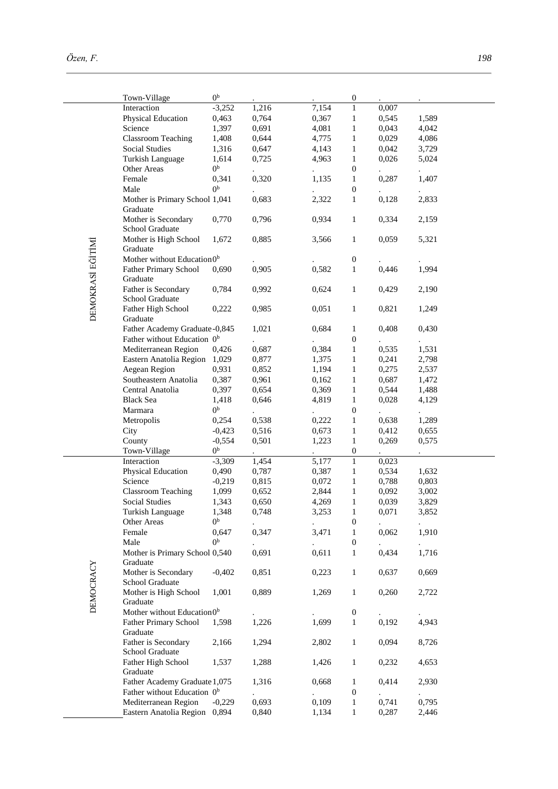|                   | Town-Village                            | 0 <sup>b</sup> |                      |       | $\boldsymbol{0}$ |                      |                      |
|-------------------|-----------------------------------------|----------------|----------------------|-------|------------------|----------------------|----------------------|
|                   | Interaction                             | $-3,252$       | 1,216                | 7,154 | 1                | 0,007                |                      |
|                   | Physical Education                      | 0,463          | 0,764                | 0,367 | $\mathbf{1}$     | 0,545                | 1,589                |
|                   | Science                                 | 1,397          | 0,691                | 4,081 | $\mathbf{1}$     | 0,043                | 4,042                |
|                   | <b>Classroom Teaching</b>               | 1,408          | 0,644                | 4,775 | $\mathbf{1}$     | 0,029                | 4,086                |
|                   | <b>Social Studies</b>                   | 1,316          | 0,647                | 4,143 | $\mathbf{1}$     | 0,042                | 3,729                |
|                   | Turkish Language                        | 1,614          | 0,725                | 4,963 | $\mathbf{1}$     | 0,026                | 5,024                |
|                   |                                         |                |                      |       |                  |                      |                      |
|                   | Other Areas                             | 0 <sup>b</sup> |                      |       | $\boldsymbol{0}$ |                      | $\ddot{\phantom{0}}$ |
|                   | Female                                  | 0,341          | 0,320                | 1,135 | $\mathbf{1}$     | 0,287                | 1,407                |
|                   | Male                                    | 0 <sup>b</sup> |                      |       | $\boldsymbol{0}$ |                      |                      |
|                   | Mother is Primary School 1,041          |                | 0,683                | 2,322 | $\mathbf{1}$     | 0,128                | 2,833                |
|                   | Graduate                                |                |                      |       |                  |                      |                      |
|                   | Mother is Secondary                     | 0,770          | 0,796                | 0,934 | $\mathbf{1}$     | 0,334                | 2,159                |
|                   | School Graduate                         |                |                      |       |                  |                      |                      |
|                   |                                         |                |                      |       |                  |                      |                      |
|                   | Mother is High School                   | 1,672          | 0,885                | 3,566 | $\mathbf{1}$     | 0,059                | 5,321                |
|                   | Graduate                                |                |                      |       |                  |                      |                      |
| DEMOKRASI EĞITIMI | Mother without Education <sup>0b</sup>  |                |                      |       | $\boldsymbol{0}$ |                      |                      |
|                   | <b>Father Primary School</b>            | 0,690          | 0,905                | 0,582 | $\mathbf{1}$     | 0,446                | 1,994                |
|                   | Graduate                                |                |                      |       |                  |                      |                      |
|                   | Father is Secondary                     | 0,784          | 0,992                | 0,624 | $\mathbf{1}$     | 0,429                | 2,190                |
|                   |                                         |                |                      |       |                  |                      |                      |
|                   | School Graduate                         |                |                      |       |                  |                      |                      |
|                   | Father High School                      | 0,222          | 0,985                | 0,051 | $\mathbf{1}$     | 0,821                | 1,249                |
|                   | Graduate                                |                |                      |       |                  |                      |                      |
|                   | Father Academy Graduate-0,845           |                | 1,021                | 0,684 | $\mathbf{1}$     | 0,408                | 0,430                |
|                   | Father without Education 0 <sup>b</sup> |                |                      |       | $\boldsymbol{0}$ |                      |                      |
|                   | Mediterranean Region                    | 0,426          | 0,687                | 0,384 | $\mathbf{1}$     | 0,535                | 1,531                |
|                   | Eastern Anatolia Region                 |                |                      | 1,375 |                  |                      |                      |
|                   |                                         | 1,029          | 0,877                |       | $\mathbf{1}$     | 0,241                | 2,798                |
|                   | Aegean Region                           | 0,931          | 0,852                | 1,194 | $\mathbf{1}$     | 0,275                | 2,537                |
|                   | Southeastern Anatolia                   | 0,387          | 0,961                | 0,162 | $\mathbf{1}$     | 0,687                | 1,472                |
|                   | Central Anatolia                        | 0,397          | 0,654                | 0,369 | $\mathbf{1}$     | 0,544                | 1,488                |
|                   | <b>Black Sea</b>                        | 1,418          | 0,646                | 4,819 | $\mathbf{1}$     | 0,028                | 4,129                |
|                   | Marmara                                 | 0 <sup>b</sup> |                      |       | $\boldsymbol{0}$ |                      |                      |
|                   |                                         | 0,254          | 0,538                | 0,222 | $\mathbf{1}$     | 0,638                | 1,289                |
|                   | Metropolis                              |                |                      |       |                  |                      |                      |
|                   | City                                    | $-0,423$       | 0,516                | 0,673 | $\mathbf{1}$     | 0,412                | 0,655                |
|                   | County                                  | $-0,554$       | 0,501                | 1,223 | $\mathbf{1}$     | 0,269                | 0,575                |
|                   | Town-Village                            | 0 <sup>b</sup> |                      |       | $\boldsymbol{0}$ |                      |                      |
|                   | Interaction                             | $-3,309$       | 1,454                | 5,177 | $\overline{1}$   | 0,023                |                      |
|                   | Physical Education                      | 0,490          | 0,787                | 0,387 | $\mathbf{1}$     | 0,534                | 1,632                |
|                   | Science                                 | $-0,219$       | 0,815                | 0,072 | $\mathbf{1}$     | 0,788                | 0,803                |
|                   |                                         |                |                      |       |                  |                      |                      |
|                   | <b>Classroom Teaching</b>               | 1,099          | 0,652                | 2,844 | $\mathbf{1}$     | 0,092                | 3,002                |
|                   | Social Studies                          | 1,343          | 0,650                | 4,269 | $\mathbf{1}$     | 0,039                | 3,829                |
|                   | Turkish Language                        | 1,348          | 0,748                | 3,253 | $\mathbf{I}$     | 0,0/1                | 3,852                |
|                   | Other Areas                             | 0 <sub>p</sub> |                      |       | $\boldsymbol{0}$ |                      |                      |
|                   | Female                                  | 0,647          | 0,347                | 3,471 | $\mathbf{1}$     | 0,062                | 1,910                |
|                   | Male                                    | 0 <sub>p</sub> |                      |       | $\boldsymbol{0}$ |                      |                      |
|                   |                                         |                | 0,691                |       |                  |                      |                      |
|                   | Mother is Primary School 0,540          |                |                      | 0,611 | 1                | 0,434                | 1,716                |
|                   | Graduate                                |                |                      |       |                  |                      |                      |
|                   | Mother is Secondary                     | $-0,402$       | 0,851                | 0,223 | $\mathbf{1}$     | 0,637                | 0,669                |
|                   | School Graduate                         |                |                      |       |                  |                      |                      |
| DEMOCRACY         | Mother is High School                   | 1,001          | 0,889                | 1,269 | $\mathbf{1}$     | 0,260                | 2,722                |
|                   | Graduate                                |                |                      |       |                  |                      |                      |
|                   | Mother without Education <sup>0b</sup>  |                |                      |       | $\boldsymbol{0}$ |                      |                      |
|                   |                                         |                |                      | 1,699 |                  | 0,192                | 4,943                |
|                   | <b>Father Primary School</b>            | 1,598          | 1,226                |       | $\mathbf{1}$     |                      |                      |
|                   | Graduate                                |                |                      |       |                  |                      |                      |
|                   | Father is Secondary                     | 2,166          | 1,294                | 2,802 | $\mathbf{1}$     | 0,094                | 8,726                |
|                   | School Graduate                         |                |                      |       |                  |                      |                      |
|                   | Father High School                      | 1,537          | 1,288                | 1,426 | $\mathbf{1}$     | 0,232                | 4,653                |
|                   | Graduate                                |                |                      |       |                  |                      |                      |
|                   | Father Academy Graduate 1,075           |                | 1,316                | 0,668 | 1                | 0,414                | 2,930                |
|                   | Father without Education 0 <sup>b</sup> |                |                      |       |                  |                      |                      |
|                   |                                         |                | $\ddot{\phantom{0}}$ |       | $\boldsymbol{0}$ | $\ddot{\phantom{0}}$ | $\blacksquare$       |
|                   | Mediterranean Region                    | $-0,229$       | 0,693                | 0,109 | $\mathbf{1}$     | 0,741                | 0,795                |
|                   | Eastern Anatolia Region 0,894           |                | 0,840                | 1,134 | $\mathbf{1}$     | 0,287                | 2,446                |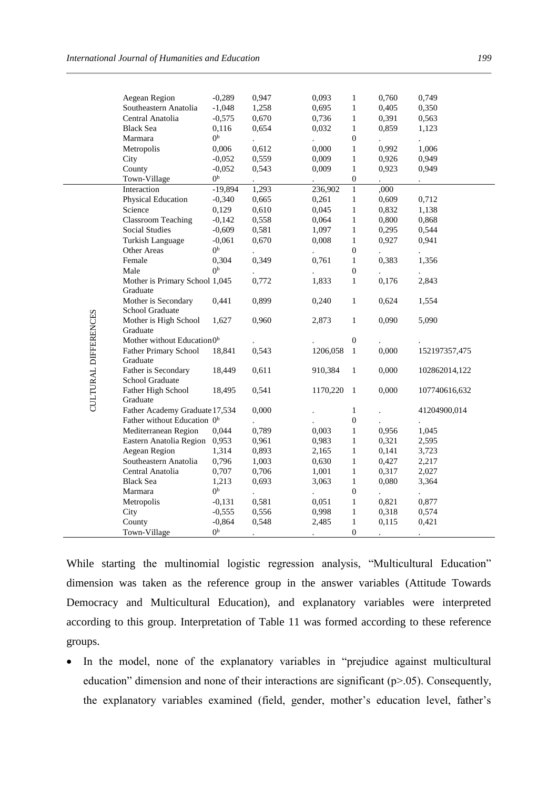|                      | Aegean Region                              | $-0,289$                | 0,947 | 0,093                         | $\mathbf{1}$     | 0,760 | 0,749         |
|----------------------|--------------------------------------------|-------------------------|-------|-------------------------------|------------------|-------|---------------|
|                      | Southeastern Anatolia                      | $-1,048$                | 1,258 | 0,695                         | $\mathbf{1}$     | 0,405 | 0,350         |
|                      | Central Anatolia                           | $-0,575$                | 0,670 | 0,736                         | $\mathbf{1}$     | 0,391 | 0,563         |
|                      | <b>Black Sea</b>                           | 0,116                   | 0,654 | 0,032                         | $\mathbf{1}$     | 0,859 | 1,123         |
|                      | Marmara                                    | 0 <sub>p</sub>          |       |                               | $\boldsymbol{0}$ |       |               |
|                      | Metropolis                                 | 0,006                   | 0,612 | $\ddot{\phantom{0}}$<br>0,000 | $\mathbf{1}$     | 0,992 | 1,006         |
|                      | City                                       | $-0,052$                | 0,559 | 0,009                         | $\mathbf{1}$     | 0,926 | 0,949         |
|                      | County                                     | $-0,052$                | 0,543 | 0,009                         | $\,1$            | 0,923 | 0,949         |
|                      | Town-Village                               | 0 <sub>p</sub>          |       |                               | $\boldsymbol{0}$ |       |               |
|                      | Interaction                                | $-19,894$               | 1,293 | 236,902                       | $\,1$            | ,000  |               |
|                      | Physical Education                         | $-0,340$                | 0,665 | 0,261                         | $\,1$            | 0,609 | 0,712         |
|                      | Science                                    | 0,129                   | 0,610 | 0,045                         | $\mathbf{1}$     | 0,832 | 1,138         |
|                      | <b>Classroom Teaching</b>                  | $-0,142$                | 0,558 | 0,064                         | $\mathbf{1}$     | 0,800 | 0,868         |
|                      | <b>Social Studies</b>                      | $-0,609$                | 0,581 | 1,097                         | $\mathbf{1}$     | 0,295 | 0,544         |
|                      | Turkish Language                           | $-0,061$                | 0,670 | 0,008                         |                  | 0,927 | 0,941         |
|                      |                                            | 0 <sup>b</sup>          |       |                               | $\mathbf{1}$     |       |               |
|                      | Other Areas                                |                         |       | $\ddot{\phantom{0}}$          | $\boldsymbol{0}$ |       |               |
|                      | Female                                     | 0,304<br>0 <sup>b</sup> | 0,349 | 0,761                         | $\mathbf{1}$     | 0,383 | 1,356         |
|                      | Male                                       |                         |       |                               | $\boldsymbol{0}$ |       |               |
|                      | Mother is Primary School 1,045<br>Graduate |                         | 0,772 | 1,833                         | $\mathbf{1}$     | 0,176 | 2,843         |
|                      | Mother is Secondary                        | 0,441                   | 0,899 | 0,240                         | $\mathbf{1}$     | 0,624 | 1,554         |
|                      | School Graduate                            |                         |       |                               |                  |       |               |
|                      | Mother is High School                      | 1,627                   | 0,960 | 2,873                         | $\mathbf{1}$     | 0,090 | 5,090         |
|                      | Graduate                                   |                         |       |                               |                  |       |               |
|                      | Mother without Education <sup>0b</sup>     |                         |       |                               | $\boldsymbol{0}$ |       |               |
|                      | <b>Father Primary School</b>               | 18,841                  | 0,543 | 1206,058                      | $\mathbf{1}$     | 0,000 | 152197357,475 |
|                      | Graduate                                   |                         |       |                               |                  |       |               |
| CULTURAL DIFFERENCES | Father is Secondary                        | 18,449                  | 0,611 | 910,384                       | $\mathbf{1}$     | 0,000 | 102862014,122 |
|                      | School Graduate                            |                         |       |                               |                  |       |               |
|                      | Father High School                         | 18,495                  | 0,541 | 1170,220                      | -1               | 0,000 | 107740616,632 |
|                      | Graduate                                   |                         |       |                               |                  |       |               |
|                      | Father Academy Graduate 17,534             |                         | 0,000 |                               | $\mathbf{1}$     |       | 41204900,014  |
|                      | Father without Education 0 <sup>b</sup>    |                         |       |                               | $\boldsymbol{0}$ |       |               |
|                      | Mediterranean Region                       | 0,044                   | 0,789 | 0,003                         | $\mathbf{1}$     | 0,956 | 1,045         |
|                      | Eastern Anatolia Region                    | 0,953                   | 0,961 | 0,983                         | $\mathbf{1}$     | 0,321 | 2,595         |
|                      | Aegean Region                              | 1,314                   | 0,893 | 2,165                         | $\mathbf{1}$     | 0,141 | 3,723         |
|                      | Southeastern Anatolia                      | 0,796                   | 1,003 | 0,630                         | $\mathbf{1}$     | 0,427 | 2,217         |
|                      | Central Anatolia                           | 0,707                   | 0,706 | 1,001                         | $\mathbf{1}$     | 0,317 | 2,027         |
|                      | <b>Black Sea</b>                           | 1,213                   | 0,693 | 3,063                         | $\mathbf{1}$     | 0,080 | 3,364         |
|                      | Marmara                                    | 0 <sup>b</sup>          |       |                               | $\boldsymbol{0}$ |       |               |
|                      | Metropolis                                 | $-0,131$                | 0,581 | 0,051                         | $\mathbf{1}$     | 0,821 | 0,877         |
|                      | City                                       | $-0,555$                | 0,556 | 0,998                         | $\mathbf{1}$     | 0,318 | 0,574         |
|                      | County                                     | $-0,864$                | 0,548 | 2,485                         | $\mathbf{1}$     | 0,115 | 0,421         |
|                      | Town-Village                               | 0 <sup>b</sup>          |       | $\ddot{\phantom{0}}$          | $\boldsymbol{0}$ |       |               |

While starting the multinomial logistic regression analysis, "Multicultural Education" dimension was taken as the reference group in the answer variables (Attitude Towards Democracy and Multicultural Education), and explanatory variables were interpreted according to this group. Interpretation of Table 11 was formed according to these reference groups.

• In the model, none of the explanatory variables in "prejudice against multicultural education" dimension and none of their interactions are significant  $(p>0.05)$ . Consequently, the explanatory variables examined (field, gender, mother's education level, father's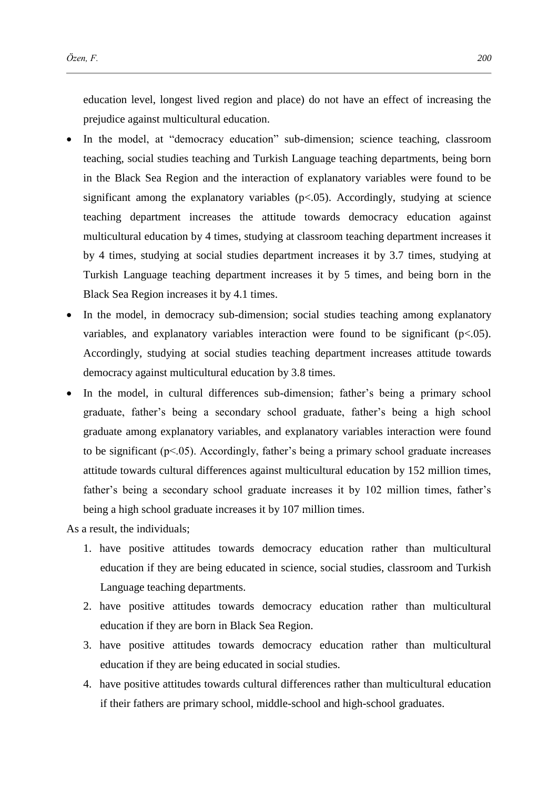education level, longest lived region and place) do not have an effect of increasing the prejudice against multicultural education.

- In the model, at "democracy education" sub-dimension; science teaching, classroom teaching, social studies teaching and Turkish Language teaching departments, being born in the Black Sea Region and the interaction of explanatory variables were found to be significant among the explanatory variables  $(p<.05)$ . Accordingly, studying at science teaching department increases the attitude towards democracy education against multicultural education by 4 times, studying at classroom teaching department increases it by 4 times, studying at social studies department increases it by 3.7 times, studying at Turkish Language teaching department increases it by 5 times, and being born in the Black Sea Region increases it by 4.1 times.
- In the model, in democracy sub-dimension; social studies teaching among explanatory variables, and explanatory variables interaction were found to be significant  $(p<0.05)$ . Accordingly, studying at social studies teaching department increases attitude towards democracy against multicultural education by 3.8 times.
- In the model, in cultural differences sub-dimension; father's being a primary school graduate, father's being a secondary school graduate, father's being a high school graduate among explanatory variables, and explanatory variables interaction were found to be significant  $(p<0.05)$ . Accordingly, father's being a primary school graduate increases attitude towards cultural differences against multicultural education by 152 million times, father's being a secondary school graduate increases it by 102 million times, father's being a high school graduate increases it by 107 million times.

As a result, the individuals;

- 1. have positive attitudes towards democracy education rather than multicultural education if they are being educated in science, social studies, classroom and Turkish Language teaching departments.
- 2. have positive attitudes towards democracy education rather than multicultural education if they are born in Black Sea Region.
- 3. have positive attitudes towards democracy education rather than multicultural education if they are being educated in social studies.
- 4. have positive attitudes towards cultural differences rather than multicultural education if their fathers are primary school, middle-school and high-school graduates.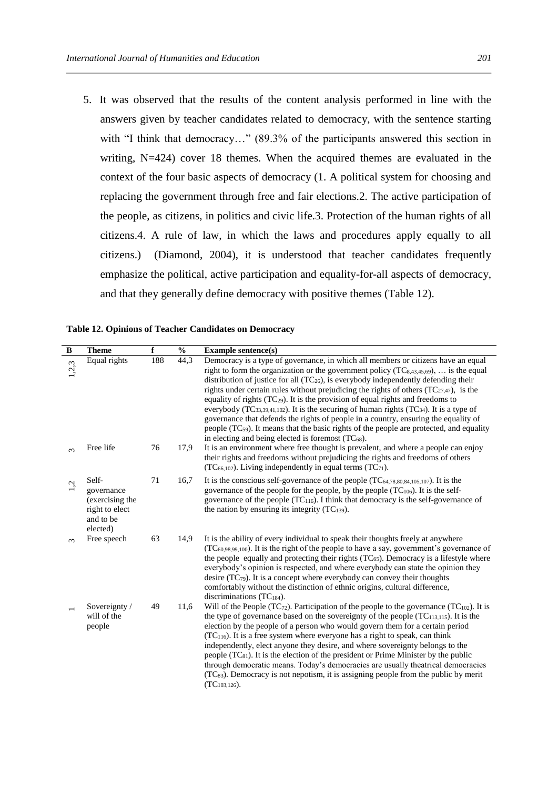5. It was observed that the results of the content analysis performed in line with the answers given by teacher candidates related to democracy, with the sentence starting with "I think that democracy..." (89.3% of the participants answered this section in writing, N=424) cover 18 themes. When the acquired themes are evaluated in the context of the four basic aspects of democracy (1. A political system for choosing and replacing the government through free and fair elections.2. The active participation of the people, as citizens, in politics and civic life.3. Protection of the human rights of all citizens.4. A rule of law, in which the laws and procedures apply equally to all citizens.) (Diamond, 2004), it is understood that teacher candidates frequently emphasize the political, active participation and equality-for-all aspects of democracy, and that they generally define democracy with positive themes (Table 12).

| $\, {\bf B}$ | <b>Theme</b>                                                                      | $\mathbf f$ | $\frac{0}{0}$ | <b>Example sentence(s)</b>                                                                                                                                                                                                                                                                                                                                                                                                                                                                                                                                                                                                                                                                                                                                                                                                     |
|--------------|-----------------------------------------------------------------------------------|-------------|---------------|--------------------------------------------------------------------------------------------------------------------------------------------------------------------------------------------------------------------------------------------------------------------------------------------------------------------------------------------------------------------------------------------------------------------------------------------------------------------------------------------------------------------------------------------------------------------------------------------------------------------------------------------------------------------------------------------------------------------------------------------------------------------------------------------------------------------------------|
| 1,2,3        | Equal rights                                                                      | 188         | 44,3          | Democracy is a type of governance, in which all members or citizens have an equal<br>right to form the organization or the government policy $(TC_{8,43,45,69})$ ,  is the equal<br>distribution of justice for all $(TC_{26})$ , is everybody independently defending their<br>rights under certain rules without prejudicing the rights of others $(TC_{27,47})$ , is the<br>equality of rights (TC <sub>29</sub> ). It is the provision of equal rights and freedoms to<br>everybody (TC33,39,41,102). It is the securing of human rights (TC34). It is a type of<br>governance that defends the rights of people in a country, ensuring the equality of<br>people (TC <sub>59</sub> ). It means that the basic rights of the people are protected, and equality<br>in electing and being elected is foremost $(TC_{68})$ . |
| $\infty$     | Free life                                                                         | 76          | 17,9          | It is an environment where free thought is prevalent, and where a people can enjoy<br>their rights and freedoms without prejudicing the rights and freedoms of others<br>$(TC_{66,102})$ . Living independently in equal terms $(TC_{71})$ .                                                                                                                                                                                                                                                                                                                                                                                                                                                                                                                                                                                   |
| L,           | Self-<br>governance<br>(exercising the<br>right to elect<br>and to be<br>elected) | 71          | 16,7          | It is the conscious self-governance of the people $(TC_{64,78,80,84,105,107})$ . It is the<br>governance of the people for the people, by the people $(TC_{106})$ . It is the self-<br>governance of the people (TC <sub>116</sub> ). I think that democracy is the self-governance of<br>the nation by ensuring its integrity $(TC_{139})$ .                                                                                                                                                                                                                                                                                                                                                                                                                                                                                  |
| $\infty$     | Free speech                                                                       | 63          | 14,9          | It is the ability of every individual to speak their thoughts freely at anywhere<br>$(TC_{60,98,99,100})$ . It is the right of the people to have a say, government's governance of<br>the people equally and protecting their rights $(TC_{65})$ . Democracy is a lifestyle where<br>everybody's opinion is respected, and where everybody can state the opinion they<br>desire $(TC_{79})$ . It is a concept where everybody can convey their thoughts<br>comfortably without the distinction of ethnic origins, cultural difference,<br>discriminations $(TC_{184})$ .                                                                                                                                                                                                                                                      |
|              | Sovereignty /<br>will of the<br>people                                            | 49          | 11,6          | Will of the People (TC $_{72}$ ). Participation of the people to the governance (TC $_{102}$ ). It is<br>the type of governance based on the sovereignty of the people $(TC_{113,115})$ . It is the<br>election by the people of a person who would govern them for a certain period<br>$(TC116)$ . It is a free system where everyone has a right to speak, can think<br>independently, elect anyone they desire, and where sovereignty belongs to the<br>people $(TC_{81})$ . It is the election of the president or Prime Minister by the public<br>through democratic means. Today's democracies are usually theatrical democracies<br>(TC <sub>83</sub> ). Democracy is not nepotism, it is assigning people from the public by merit<br>$(TC_{103,126})$ .                                                               |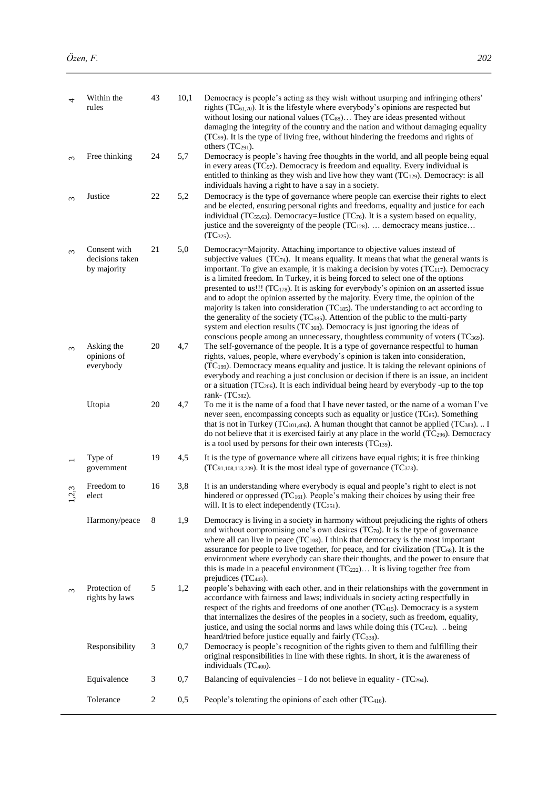| 4          | Within the<br>rules                            | 43             | 10,1 | Democracy is people's acting as they wish without usurping and infringing others'<br>rights ( $TC_{61,70}$ ). It is the lifestyle where everybody's opinions are respected but<br>without losing our national values (TCss) They are ideas presented without<br>damaging the integrity of the country and the nation and without damaging equality<br>(TC <sub>99</sub> ). It is the type of living free, without hindering the freedoms and rights of<br>others (TC <sub>291</sub> ).                                                                                                                                                                                                                                                                                                                                                                                                                              |  |
|------------|------------------------------------------------|----------------|------|---------------------------------------------------------------------------------------------------------------------------------------------------------------------------------------------------------------------------------------------------------------------------------------------------------------------------------------------------------------------------------------------------------------------------------------------------------------------------------------------------------------------------------------------------------------------------------------------------------------------------------------------------------------------------------------------------------------------------------------------------------------------------------------------------------------------------------------------------------------------------------------------------------------------|--|
| $\epsilon$ | Free thinking                                  | 24             | 5,7  | Democracy is people's having free thoughts in the world, and all people being equal<br>in every areas (TC <sub>97</sub> ). Democracy is freedom and equality. Every individual is<br>entitled to thinking as they wish and live how they want $(TC_{129})$ . Democracy: is all<br>individuals having a right to have a say in a society.                                                                                                                                                                                                                                                                                                                                                                                                                                                                                                                                                                            |  |
| $\infty$   | Justice                                        | 22             | 5,2  | Democracy is the type of governance where people can exercise their rights to elect<br>and be elected, ensuring personal rights and freedoms, equality and justice for each<br>individual (TC $_{55,63}$ ). Democracy=Justice (TC $_{76}$ ). It is a system based on equality,<br>justice and the sovereignty of the people $(TC_{128})$ democracy means justice<br>$(TC_{325})$ .                                                                                                                                                                                                                                                                                                                                                                                                                                                                                                                                  |  |
| $\sim$     | Consent with<br>decisions taken<br>by majority | 21             | 5,0  | Democracy=Majority. Attaching importance to objective values instead of<br>subjective values $(TC_{74})$ . It means equality. It means that what the general wants is<br>important. To give an example, it is making a decision by votes $(TC_{117})$ . Democracy<br>is a limited freedom. In Turkey, it is being forced to select one of the options<br>presented to us!!! (TC <sub>178</sub> ). It is asking for everybody's opinion on an asserted issue<br>and to adopt the opinion asserted by the majority. Every time, the opinion of the<br>majority is taken into consideration ( $TC_{185}$ ). The understanding to act according to<br>the generality of the society (TC385). Attention of the public to the multi-party<br>system and election results (TC <sub>368</sub> ). Democracy is just ignoring the ideas of<br>conscious people among an unnecessary, thoughtless community of voters (TC369). |  |
| $\sim$     | Asking the<br>opinions of<br>everybody         | 20             | 4,7  | The self-governance of the people. It is a type of governance respectful to human<br>rights, values, people, where everybody's opinion is taken into consideration,<br>(TC199). Democracy means equality and justice. It is taking the relevant opinions of<br>everybody and reaching a just conclusion or decision if there is an issue, an incident<br>or a situation $(TC_{206})$ . It is each individual being heard by everybody -up to the top<br>rank- (TC <sub>382</sub> ).                                                                                                                                                                                                                                                                                                                                                                                                                                 |  |
|            | Utopia                                         | 20             | 4,7  | To me it is the name of a food that I have never tasted, or the name of a woman I've<br>never seen, encompassing concepts such as equality or justice (TCs5). Something<br>that is not in Turkey (TC <sub>101,406</sub> ). A human thought that cannot be applied (TC <sub>383</sub> ).  I<br>do not believe that it is exercised fairly at any place in the world (TC296). Democracy<br>is a tool used by persons for their own interests (TC139).                                                                                                                                                                                                                                                                                                                                                                                                                                                                 |  |
|            | Type of<br>government                          | 19             | 4,5  | It is the type of governance where all citizens have equal rights; it is free thinking<br>(TC <sub>91,108,113,209</sub> ). It is the most ideal type of governance (TC <sub>373</sub> ).                                                                                                                                                                                                                                                                                                                                                                                                                                                                                                                                                                                                                                                                                                                            |  |
| 2,3        | Freedom to<br>elect                            | 16             | 3,8  | It is an understanding where everybody is equal and people's right to elect is not<br>hindered or oppressed (TC <sub>161</sub> ). People's making their choices by using their free<br>will. It is to elect independently $(TC_{251})$ .                                                                                                                                                                                                                                                                                                                                                                                                                                                                                                                                                                                                                                                                            |  |
|            | Harmony/peace                                  | 8              | 1,9  | Democracy is living in a society in harmony without prejudicing the rights of others<br>and without compromising one's own desires $(TC_{70})$ . It is the type of governance<br>where all can live in peace $(TC_{108})$ . I think that democracy is the most important<br>assurance for people to live together, for peace, and for civilization (TC <sub>68</sub> ). It is the<br>environment where everybody can share their thoughts, and the power to ensure that<br>this is made in a peaceful environment $(TC_{222})$ It is living together free from<br>prejudices (TC <sub>443</sub> ).                                                                                                                                                                                                                                                                                                                  |  |
| $\infty$   | Protection of<br>rights by laws                | $\sqrt{5}$     | 1,2  | people's behaving with each other, and in their relationships with the government in<br>accordance with fairness and laws; individuals in society acting respectfully in<br>respect of the rights and freedoms of one another $(TC_{415})$ . Democracy is a system<br>that internalizes the desires of the peoples in a society, such as freedom, equality,<br>justice, and using the social norms and laws while doing this (TC <sub>452</sub> ).  being<br>heard/tried before justice equally and fairly (TC338).                                                                                                                                                                                                                                                                                                                                                                                                 |  |
|            | Responsibility                                 | 3              | 0,7  | Democracy is people's recognition of the rights given to them and fulfilling their<br>original responsibilities in line with these rights. In short, it is the awareness of<br>individuals (TC <sub>400</sub> ).                                                                                                                                                                                                                                                                                                                                                                                                                                                                                                                                                                                                                                                                                                    |  |
|            | Equivalence                                    | 3              | 0,7  | Balancing of equivalencies $- I$ do not believe in equality - $(TC_{294})$ .                                                                                                                                                                                                                                                                                                                                                                                                                                                                                                                                                                                                                                                                                                                                                                                                                                        |  |
|            | Tolerance                                      | $\overline{2}$ | 0,5  | People's tolerating the opinions of each other (TC <sub>416</sub> ).                                                                                                                                                                                                                                                                                                                                                                                                                                                                                                                                                                                                                                                                                                                                                                                                                                                |  |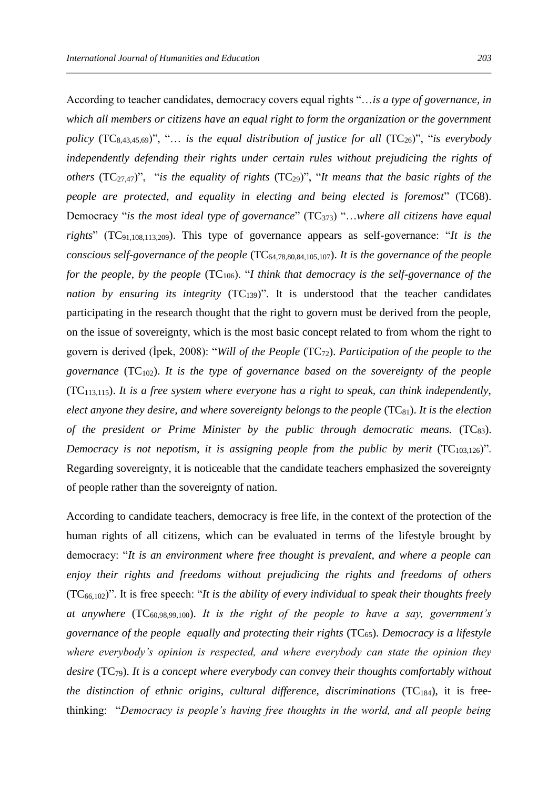According to teacher candidates, democracy covers equal rights "…*is a type of governance, in which all members or citizens have an equal right to form the organization or the government policy*  $(TC_{8,43,45,69})$ ", "... *is the equal distribution of justice for all*  $(TC_{26})$ ", "*is everybody independently defending their rights under certain rules without prejudicing the rights of others* (TC27,47)", "*is the equality of rights* (TC29)", "*It means that the basic rights of the people are protected, and equality in electing and being elected is foremost*" (TC68). Democracy "*is the most ideal type of governance*" (TC373) "…*where all citizens have equal rights*" (TC91,108,113,209). This type of governance appears as self-governance: "*It is the conscious self-governance of the people* (TC64,78,80,84,105,107). *It is the governance of the people for the people, by the people* (TC<sub>106</sub>). "*I think that democracy is the self-governance of the nation by ensuring its integrity*  $(TC_{139})$ ". It is understood that the teacher candidates participating in the research thought that the right to govern must be derived from the people, on the issue of sovereignty, which is the most basic concept related to from whom the right to govern is derived (İpek, 2008): "*Will of the People* (TC72). *Participation of the people to the governance* (TC102). *It is the type of governance based on the sovereignty of the people* ( $TC<sub>113,115</sub>$ ). *It is a free system where everyone has a right to speak, can think independently, elect anyone they desire, and where sovereignty belongs to the people* (TC<sub>81</sub>). *It is the election of the president or Prime Minister by the public through democratic means.* (TC<sub>83</sub>). *Democracy is not nepotism, it is assigning people from the public by merit*  $(TC_{103,126})$ ". Regarding sovereignty, it is noticeable that the candidate teachers emphasized the sovereignty of people rather than the sovereignty of nation.

According to candidate teachers, democracy is free life, in the context of the protection of the human rights of all citizens, which can be evaluated in terms of the lifestyle brought by democracy: "*It is an environment where free thought is prevalent, and where a people can enjoy their rights and freedoms without prejudicing the rights and freedoms of others* (TC66,102)". It is free speech: "*It is the ability of every individual to speak their thoughts freely at anywhere* (TC60,98,99,100). *It is the right of the people to have a say, government's governance of the people equally and protecting their rights* (TC65). *Democracy is a lifestyle where everybody's opinion is respected, and where everybody can state the opinion they desire* (TC<sub>79</sub>). *It is a concept where everybody can convey their thoughts comfortably without the distinction of ethnic origins, cultural difference, discriminations* (TC<sub>184</sub>), it is freethinking: "*Democracy is people's having free thoughts in the world, and all people being*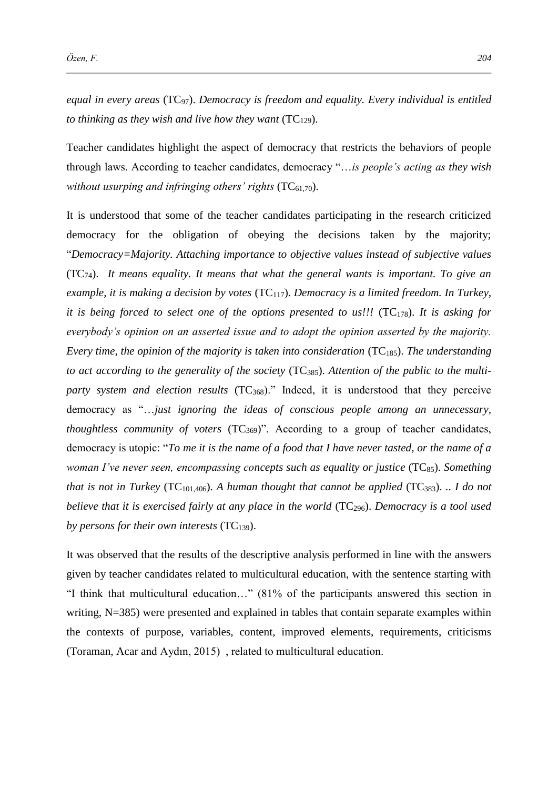*equal in every areas* (TC97). *Democracy is freedom and equality. Every individual is entitled to thinking as they wish and live how they want*  $(TC_{129})$ .

Teacher candidates highlight the aspect of democracy that restricts the behaviors of people through laws. According to teacher candidates, democracy "…*is people's acting as they wish without usurping and infringing others' rights* (TC<sub>61,70</sub>).

It is understood that some of the teacher candidates participating in the research criticized democracy for the obligation of obeying the decisions taken by the majority; "*Democracy=Majority. Attaching importance to objective values instead of subjective values* (TC74). *It means equality. It means that what the general wants is important. To give an example, it is making a decision by votes* (TC<sub>117</sub>). *Democracy is a limited freedom. In Turkey, it is being forced to select one of the options presented to us!!!* (TC<sub>178</sub>). *It is asking for everybody's opinion on an asserted issue and to adopt the opinion asserted by the majority. Every time, the opinion of the majority is taken into consideration* (TC<sub>185</sub>). *The understanding to act according to the generality of the society* (TC385). *Attention of the public to the multiparty system and election results* (TC<sub>368</sub>)." Indeed, it is understood that they perceive democracy as "…*just ignoring the ideas of conscious people among an unnecessary, thoughtless community of voters* (TC<sub>369</sub>)". According to a group of teacher candidates, democracy is utopic: "*To me it is the name of a food that I have never tasted, or the name of a woman I've never seen, encompassing concepts such as equality or justice* (TC<sub>85</sub>). *Something that is not in Turkey* (TC<sub>101,406</sub>). A human thought that cannot be applied (TC<sub>383</sub>).  $\ldots$  *I do not believe that it is exercised fairly at any place in the world* (TC<sub>296</sub>). *Democracy is a tool used by persons for their own interests* (TC139).

It was observed that the results of the descriptive analysis performed in line with the answers given by teacher candidates related to multicultural education, with the sentence starting with "I think that multicultural education…" (81% of the participants answered this section in writing, N=385) were presented and explained in tables that contain separate examples within the contexts of purpose, variables, content, improved elements, requirements, criticisms (Toraman, Acar and Aydın, 2015) , related to multicultural education.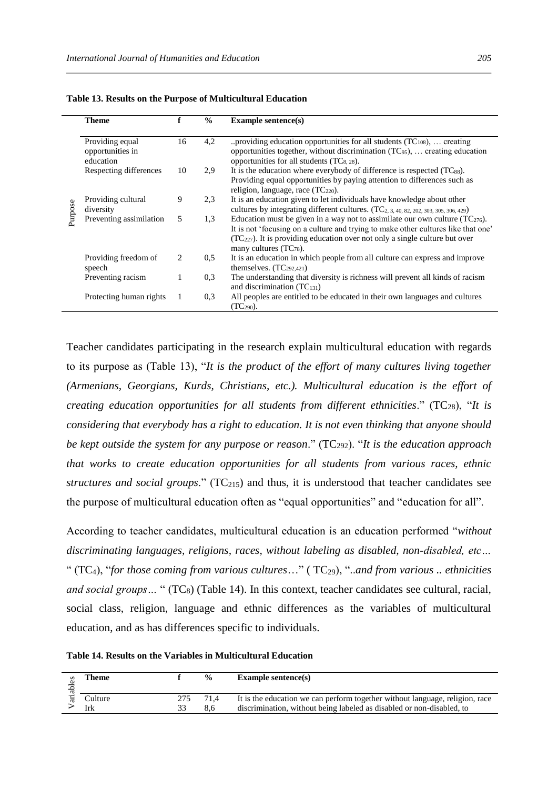|         | <b>Theme</b>                                     | f  | $\frac{0}{0}$ | <b>Example sentence(s)</b>                                                                                                                                                                                                                                                             |
|---------|--------------------------------------------------|----|---------------|----------------------------------------------------------------------------------------------------------------------------------------------------------------------------------------------------------------------------------------------------------------------------------------|
|         | Providing equal<br>opportunities in<br>education | 16 | 4,2           | providing education opportunities for all students $(TC_{108})$ ,  creating<br>opportunities together, without discrimination $(TC_{95})$ ,  creating education<br>opportunities for all students $(TC_{8, 28})$ .                                                                     |
|         | Respecting differences                           | 10 | 2.9           | It is the education where everybody of difference is respected $(TC_{88})$ .<br>Providing equal opportunities by paying attention to differences such as<br>religion, language, race $(TC_{220})$ .                                                                                    |
| Purpose | Providing cultural<br>diversity                  | 9  | 2.3           | It is an education given to let individuals have knowledge about other<br>cultures by integrating different cultures. (TC <sub>2</sub> , 3, 40, 82, 202, 303, 305, 306, 429)                                                                                                           |
|         | Preventing assimilation                          | 5  | 1.3           | Education must be given in a way not to assimilate our own culture $(TC_{276})$ .<br>It is not 'focusing on a culture and trying to make other cultures like that one'<br>$(TC227)$ . It is providing education over not only a single culture but over<br>many cultures $(TC_{78})$ . |
|         | Providing freedom of<br>speech                   | 2  | 0.5           | It is an education in which people from all culture can express and improve<br>themselves. $(TC_{292,421})$                                                                                                                                                                            |
|         | Preventing racism                                |    | 0.3           | The understanding that diversity is richness will prevent all kinds of racism<br>and discrimination $(TC_{131})$                                                                                                                                                                       |
|         | Protecting human rights                          |    | 0.3           | All peoples are entitled to be educated in their own languages and cultures<br>$(TC_{290})$ .                                                                                                                                                                                          |

**Table 13. Results on the Purpose of Multicultural Education** 

Teacher candidates participating in the research explain multicultural education with regards to its purpose as (Table 13), "*It is the product of the effort of many cultures living together (Armenians, Georgians, Kurds, Christians, etc.). Multicultural education is the effort of creating education opportunities for all students from different ethnicities.*" (TC<sub>28</sub>), "*It is considering that everybody has a right to education. It is not even thinking that anyone should be kept outside the system for any purpose or reason.*" (TC<sub>292</sub>). "*It is the education approach that works to create education opportunities for all students from various races, ethnic structures and social groups.*" (TC<sub>215</sub>) and thus, it is understood that teacher candidates see the purpose of multicultural education often as "equal opportunities" and "education for all".

According to teacher candidates, multicultural education is an education performed "*without discriminating languages, religions, races, without labeling as disabled, non-disabled, etc…* " (TC4), "*for those coming from various cultures*…" ( TC29), "..*and from various .. ethnicities and social groups* ... " (TC<sub>8</sub>) (Table 14). In this context, teacher candidates see cultural, racial, social class, religion, language and ethnic differences as the variables of multicultural education, and as has differences specific to individuals.

**Table 14. Results on the Variables in Multicultural Education** 

|  | l'heme         |     | $\frac{0}{0}$ | Example sentence $(s)$                                                                                                                                |
|--|----------------|-----|---------------|-------------------------------------------------------------------------------------------------------------------------------------------------------|
|  | Culture<br>Irk | 275 | 8.6           | It is the education we can perform together without language, religion, race<br>discrimination, without being labeled as disabled or non-disabled, to |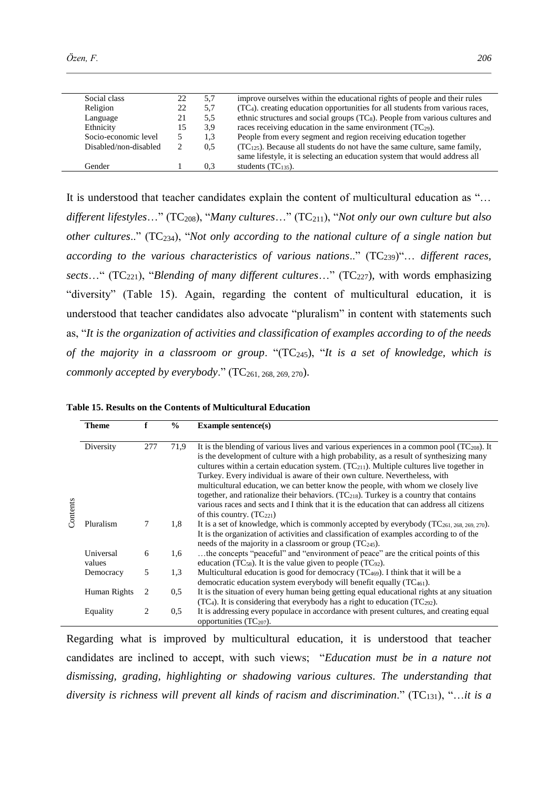| Özen, F. | 206 |
|----------|-----|
|          |     |
|          |     |
|          |     |

| Social class          | 22 | 5,7 | improve ourselves within the educational rights of people and their rules             |
|-----------------------|----|-----|---------------------------------------------------------------------------------------|
| Religion              | 22 | 5,7 | $(TC4)$ . creating education opportunities for all students from various races,       |
| Language              | 21 | 5.5 | ethnic structures and social groups $(TC_8)$ . People from various cultures and       |
| Ethnicity             | 15 | 3.9 | races receiving education in the same environment $(TC_{29})$ .                       |
| Socio-economic level  |    | 1,3 | People from every segment and region receiving education together                     |
| Disabled/non-disabled |    | 0.5 | (TC <sub>125</sub> ). Because all students do not have the same culture, same family, |
|                       |    |     | same lifestyle, it is selecting an education system that would address all            |
| Gender                |    | 0.3 | students $(TC_{135})$ .                                                               |

It is understood that teacher candidates explain the content of multicultural education as "… *different lifestyles*…" (TC208), "*Many cultures*…" (TC211), "*Not only our own culture but also other cultures*.." (TC234), "*Not only according to the national culture of a single nation but according to the various characteristics of various nations..*" (TC<sub>239</sub>)"... *different races, sects*…" (TC221), "*Blending of many different cultures*…" (TC227), with words emphasizing "diversity" (Table 15). Again, regarding the content of multicultural education, it is understood that teacher candidates also advocate "pluralism" in content with statements such as, "*It is the organization of activities and classification of examples according to of the needs of the majority in a classroom or group*. "(TC245), "*It is a set of knowledge, which is commonly accepted by everybody.*" (TC<sub>261, 268, 269, 270).</sub>

**Table 15. Results on the Contents of Multicultural Education** 

|          | Theme               | f   | $\frac{0}{0}$ | <b>Example sentence(s)</b>                                                                                                                                                                                                                                                                                                                                                                                                                                                                                                                                                                                                                                                                   |
|----------|---------------------|-----|---------------|----------------------------------------------------------------------------------------------------------------------------------------------------------------------------------------------------------------------------------------------------------------------------------------------------------------------------------------------------------------------------------------------------------------------------------------------------------------------------------------------------------------------------------------------------------------------------------------------------------------------------------------------------------------------------------------------|
| Contents | Diversity           | 277 | 71,9          | It is the blending of various lives and various experiences in a common pool ( $TC_{208}$ ). It<br>is the development of culture with a high probability, as a result of synthesizing many<br>cultures within a certain education system. $(TC_{211})$ . Multiple cultures live together in<br>Turkey. Every individual is aware of their own culture. Nevertheless, with<br>multicultural education, we can better know the people, with whom we closely live<br>together, and rationalize their behaviors. $(TC_{218})$ . Turkey is a country that contains<br>various races and sects and I think that it is the education that can address all citizens<br>of this country. $(TC_{221})$ |
|          | Pluralism           | 7   | 1,8           | It is a set of knowledge, which is commonly accepted by everybody (TC261, 268, 269, 270).<br>It is the organization of activities and classification of examples according to of the<br>needs of the majority in a classroom or group $(TC_{245})$ .                                                                                                                                                                                                                                                                                                                                                                                                                                         |
|          | Universal<br>values | 6   | 1,6           | the concepts "peaceful" and "environment of peace" are the critical points of this<br>education (TC <sub>58</sub> ). It is the value given to people (TC <sub>92</sub> ).                                                                                                                                                                                                                                                                                                                                                                                                                                                                                                                    |
|          | Democracy           | 5   | 1.3           | Multicultural education is good for democracy $(TC_{469})$ . I think that it will be a<br>democratic education system everybody will benefit equally $(TC_{461})$ .                                                                                                                                                                                                                                                                                                                                                                                                                                                                                                                          |
|          | Human Rights        | 2   | 0.5           | It is the situation of every human being getting equal educational rights at any situation<br>$(TC4)$ . It is considering that everybody has a right to education $(TC292)$ .                                                                                                                                                                                                                                                                                                                                                                                                                                                                                                                |
|          | Equality            | 2   | 0.5           | It is addressing every populace in accordance with present cultures, and creating equal<br>opportunities $(TC_{207})$ .                                                                                                                                                                                                                                                                                                                                                                                                                                                                                                                                                                      |

Regarding what is improved by multicultural education, it is understood that teacher candidates are inclined to accept, with such views; "*Education must be in a nature not dismissing, grading, highlighting or shadowing various cultures*. *The understanding that diversity is richness will prevent all kinds of racism and discrimination*." (TC131), "…*it is a*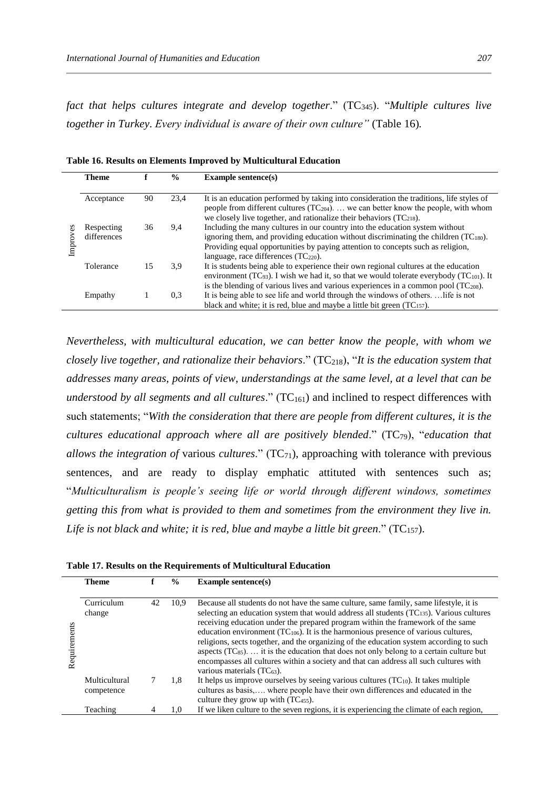*fact that helps cultures integrate and develop together.*" (TC<sub>345</sub>). "*Multiple cultures live together in Turkey*. *Every individual is aware of their own culture"* (Table 16)*.*

|            | <b>Theme</b>              |    | $\frac{6}{9}$ | Example sentence $(s)$                                                                                                                                                                                                                                                                                    |
|------------|---------------------------|----|---------------|-----------------------------------------------------------------------------------------------------------------------------------------------------------------------------------------------------------------------------------------------------------------------------------------------------------|
|            | Acceptance                | 90 | 23.4          | It is an education performed by taking into consideration the traditions, life styles of<br>people from different cultures $(TC_{204})$ we can better know the people, with whom<br>we closely live together, and rationalize their behaviors $(TC_{218})$ .                                              |
| အ<br>Impro | Respecting<br>differences | 36 | 9.4           | Including the many cultures in our country into the education system without<br>ignoring them, and providing education without discriminating the children $(TC_{180})$ .<br>Providing equal opportunities by paying attention to concepts such as religion,<br>language, race differences $(TC_{220})$ . |
|            | Tolerance                 | 15 | 3.9           | It is students being able to experience their own regional cultures at the education<br>environment (TC <sub>93</sub> ). I wish we had it, so that we would tolerate everybody (TC <sub>101</sub> ). It<br>is the blending of various lives and various experiences in a common pool $(TC208)$ .          |
|            | Empathy                   |    | 0.3           | It is being able to see life and world through the windows of others life is not<br>black and white; it is red, blue and maybe a little bit green $(TC_{157})$ .                                                                                                                                          |

**Table 16. Results on Elements Improved by Multicultural Education**

*Nevertheless, with multicultural education, we can better know the people, with whom we closely live together, and rationalize their behaviors*." (TC218), "*It is the education system that addresses many areas, points of view, understandings at the same level, at a level that can be understood by all segments and all cultures.*"  $(TC_{161})$  and inclined to respect differences with such statements; "*With the consideration that there are people from different cultures, it is the cultures educational approach where all are positively blended*." (TC79), "*education that allows the integration of various <i>cultures*." (TC<sub>71</sub>), approaching with tolerance with previous sentences, and are ready to display emphatic attituted with sentences such as; "*Multiculturalism is people's seeing life or world through different windows, sometimes getting this from what is provided to them and sometimes from the environment they live in. Life is not black and white; it is red, blue and maybe a little bit green*." (TC157).

**Table 17. Results on the Requirements of Multicultural Education**

|              | <b>Theme</b>                |    | $\frac{0}{0}$ | Example sentence $(s)$                                                                                                                                                                                                                                                                                                                                                                                                                                                                                                                                                                                                                                                                    |
|--------------|-----------------------------|----|---------------|-------------------------------------------------------------------------------------------------------------------------------------------------------------------------------------------------------------------------------------------------------------------------------------------------------------------------------------------------------------------------------------------------------------------------------------------------------------------------------------------------------------------------------------------------------------------------------------------------------------------------------------------------------------------------------------------|
| Requirements | Curriculum<br>change        | 42 | 10.9          | Because all students do not have the same culture, same family, same lifestyle, it is<br>selecting an education system that would address all students $(TC_{135})$ . Various cultures<br>receiving education under the prepared program within the framework of the same<br>education environment $(TC_{106})$ . It is the harmonious presence of various cultures,<br>religions, sects together, and the organizing of the education system according to such<br>aspects $(TC_{85})$ it is the education that does not only belong to a certain culture but<br>encompasses all cultures within a society and that can address all such cultures with<br>various materials $(TC_{63})$ . |
|              | Multicultural<br>competence |    | 1.8           | It helps us improve ourselves by seeing various cultures $(TC_{10})$ . It takes multiple<br>cultures as basis, where people have their own differences and educated in the<br>culture they grow up with $(TC_{455})$ .                                                                                                                                                                                                                                                                                                                                                                                                                                                                    |
|              | Teaching                    |    | 1.0           | If we liken culture to the seven regions, it is experiencing the climate of each region,                                                                                                                                                                                                                                                                                                                                                                                                                                                                                                                                                                                                  |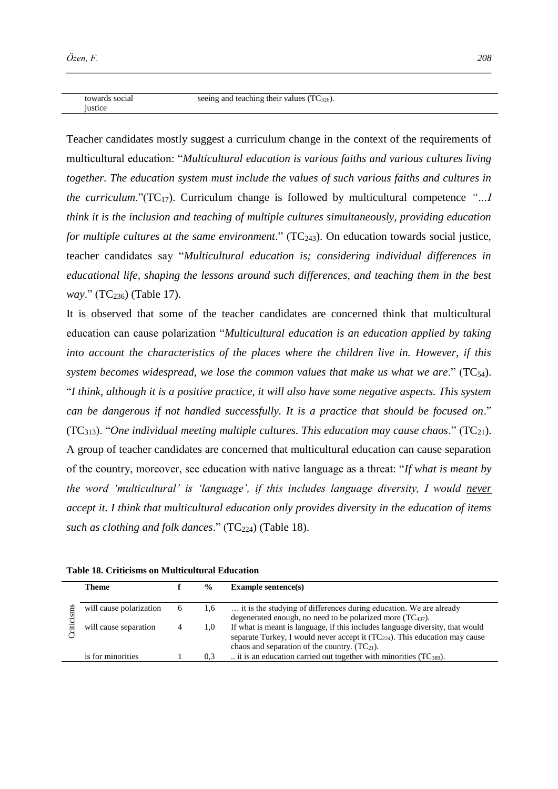towards social iustice

Teacher candidates mostly suggest a curriculum change in the context of the requirements of multicultural education: "*Multicultural education is various faiths and various cultures living together. The education system must include the values of such various faiths and cultures in the curriculum*."(TC17). Curriculum change is followed by multicultural competence *"…I think it is the inclusion and teaching of multiple cultures simultaneously, providing education for multiple cultures at the same environment.*" (TC<sub>243</sub>). On education towards social justice, teacher candidates say "*Multicultural education is; considering individual differences in educational life, shaping the lessons around such differences, and teaching them in the best way.*" (TC<sub>236</sub>) (Table 17).

It is observed that some of the teacher candidates are concerned think that multicultural education can cause polarization "*Multicultural education is an education applied by taking into account the characteristics of the places where the children live in. However, if this system becomes widespread, we lose the common values that make us what we are.*"  $(TC_{54})$ . "*I think, although it is a positive practice, it will also have some negative aspects. This system can be dangerous if not handled successfully. It is a practice that should be focused on*." (TC313). "*One individual meeting multiple cultures. This education may cause chaos*." (TC21). A group of teacher candidates are concerned that multicultural education can cause separation of the country, moreover, see education with native language as a threat: "*If what is meant by the word 'multicultural' is 'language', if this includes language diversity, I would never accept it. I think that multicultural education only provides diversity in the education of items such as clothing and folk dances.*" (TC<sub>224</sub>) (Table 18).

|  | Table 18. Criticisms on Multicultural Education |  |
|--|-------------------------------------------------|--|
|  |                                                 |  |

| <b>Theme</b>            |              | $\frac{0}{0}$ | Example sentence $(s)$                                                           |
|-------------------------|--------------|---------------|----------------------------------------------------------------------------------|
|                         |              |               |                                                                                  |
| will cause polarization | <sub>0</sub> | 1,6           | it is the studying of differences during education. We are already               |
|                         |              |               | degenerated enough, no need to be polarized more $(TC_{437})$ .                  |
| will cause separation   |              | 1.0           | If what is meant is language, if this includes language diversity, that would    |
|                         |              |               | separate Turkey, I would never accept it $(TC_{224})$ . This education may cause |
|                         |              |               | chaos and separation of the country. $(TC_{21})$ .                               |
| is for minorities       |              | 0.3           | it is an education carried out together with minorities $(TC_{389})$ .           |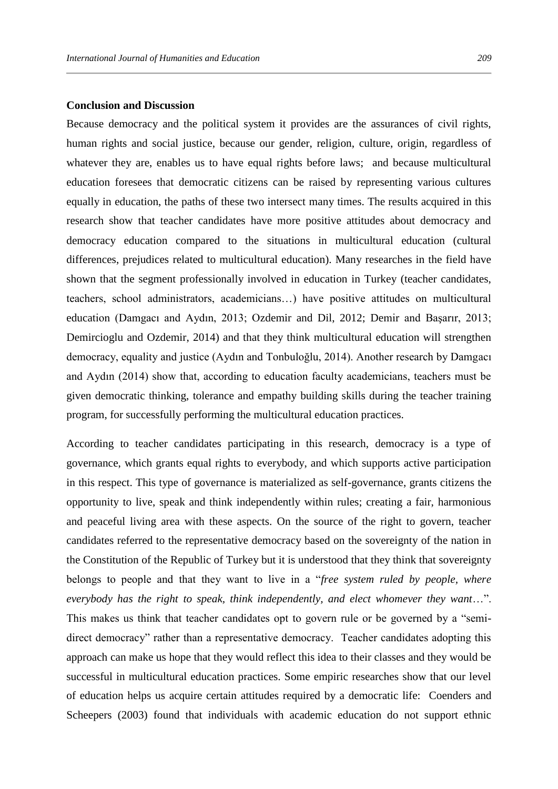#### **Conclusion and Discussion**

Because democracy and the political system it provides are the assurances of civil rights, human rights and social justice, because our gender, religion, culture, origin, regardless of whatever they are, enables us to have equal rights before laws; and because multicultural education foresees that democratic citizens can be raised by representing various cultures equally in education, the paths of these two intersect many times. The results acquired in this research show that teacher candidates have more positive attitudes about democracy and democracy education compared to the situations in multicultural education (cultural differences, prejudices related to multicultural education). Many researches in the field have shown that the segment professionally involved in education in Turkey (teacher candidates, teachers, school administrators, academicians…) have positive attitudes on multicultural education (Damgacı and Aydın, 2013; Ozdemir and Dil, 2012; Demir and Başarır, 2013; Demircioglu and Ozdemir, 2014) and that they think multicultural education will strengthen democracy, equality and justice (Aydın and Tonbuloğlu, 2014). Another research by Damgacı and Aydın (2014) show that, according to education faculty academicians, teachers must be given democratic thinking, tolerance and empathy building skills during the teacher training program, for successfully performing the multicultural education practices.

According to teacher candidates participating in this research, democracy is a type of governance, which grants equal rights to everybody, and which supports active participation in this respect. This type of governance is materialized as self-governance, grants citizens the opportunity to live, speak and think independently within rules; creating a fair, harmonious and peaceful living area with these aspects. On the source of the right to govern, teacher candidates referred to the representative democracy based on the sovereignty of the nation in the Constitution of the Republic of Turkey but it is understood that they think that sovereignty belongs to people and that they want to live in a "*free system ruled by people, where everybody has the right to speak, think independently, and elect whomever they want*…". This makes us think that teacher candidates opt to govern rule or be governed by a "semidirect democracy" rather than a representative democracy. Teacher candidates adopting this approach can make us hope that they would reflect this idea to their classes and they would be successful in multicultural education practices. Some empiric researches show that our level of education helps us acquire certain attitudes required by a democratic life: Coenders and Scheepers (2003) found that individuals with academic education do not support ethnic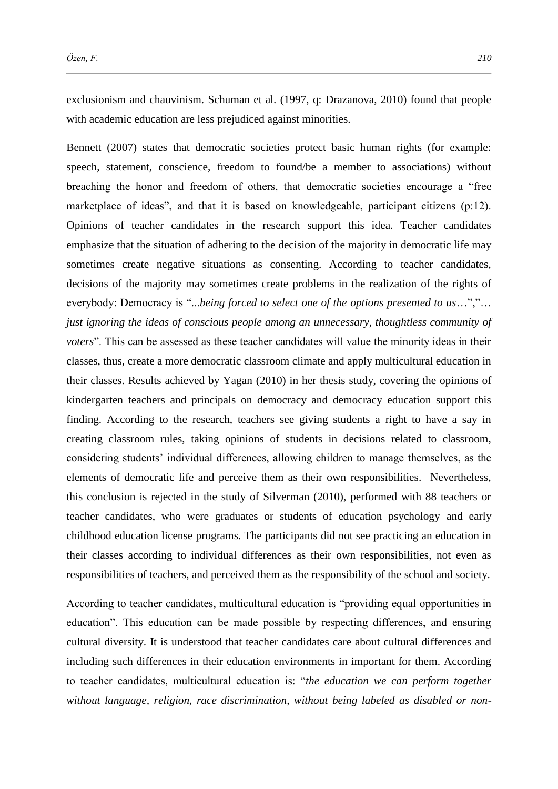exclusionism and chauvinism. Schuman et al. (1997, q: Drazanova, 2010) found that people with academic education are less prejudiced against minorities.

Bennett (2007) states that democratic societies protect basic human rights (for example: speech, statement, conscience, freedom to found/be a member to associations) without breaching the honor and freedom of others, that democratic societies encourage a "free marketplace of ideas", and that it is based on knowledgeable, participant citizens (p:12). Opinions of teacher candidates in the research support this idea. Teacher candidates emphasize that the situation of adhering to the decision of the majority in democratic life may sometimes create negative situations as consenting. According to teacher candidates, decisions of the majority may sometimes create problems in the realization of the rights of everybody: Democracy is "...*being forced to select one of the options presented to us*…","… *just ignoring the ideas of conscious people among an unnecessary, thoughtless community of voters*". This can be assessed as these teacher candidates will value the minority ideas in their classes, thus, create a more democratic classroom climate and apply multicultural education in their classes. Results achieved by Yagan (2010) in her thesis study, covering the opinions of kindergarten teachers and principals on democracy and democracy education support this finding. According to the research, teachers see giving students a right to have a say in creating classroom rules, taking opinions of students in decisions related to classroom, considering students' individual differences, allowing children to manage themselves, as the elements of democratic life and perceive them as their own responsibilities. Nevertheless, this conclusion is rejected in the study of Silverman (2010), performed with 88 teachers or teacher candidates, who were graduates or students of education psychology and early childhood education license programs. The participants did not see practicing an education in their classes according to individual differences as their own responsibilities, not even as responsibilities of teachers, and perceived them as the responsibility of the school and society.

According to teacher candidates, multicultural education is "providing equal opportunities in education". This education can be made possible by respecting differences, and ensuring cultural diversity. It is understood that teacher candidates care about cultural differences and including such differences in their education environments in important for them. According to teacher candidates, multicultural education is: "*the education we can perform together without language, religion, race discrimination, without being labeled as disabled or non-*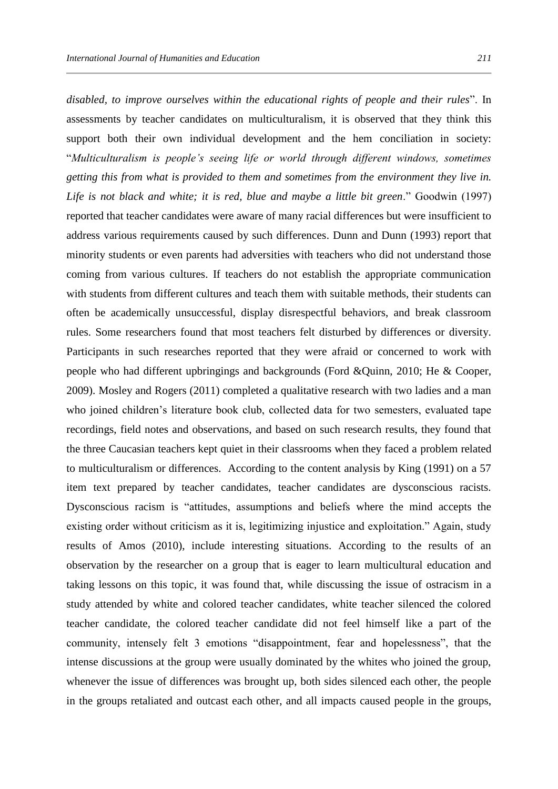*disabled, to improve ourselves within the educational rights of people and their rules*". In assessments by teacher candidates on multiculturalism, it is observed that they think this support both their own individual development and the hem conciliation in society: "*Multiculturalism is people's seeing life or world through different windows, sometimes getting this from what is provided to them and sometimes from the environment they live in. Life is not black and white; it is red, blue and maybe a little bit green*." Goodwin (1997) reported that teacher candidates were aware of many racial differences but were insufficient to address various requirements caused by such differences. Dunn and Dunn (1993) report that minority students or even parents had adversities with teachers who did not understand those coming from various cultures. If teachers do not establish the appropriate communication with students from different cultures and teach them with suitable methods, their students can often be academically unsuccessful, display disrespectful behaviors, and break classroom rules. Some researchers found that most teachers felt disturbed by differences or diversity. Participants in such researches reported that they were afraid or concerned to work with people who had different upbringings and backgrounds (Ford &Quinn, 2010; He & Cooper, 2009). Mosley and Rogers (2011) completed a qualitative research with two ladies and a man who joined children's literature book club, collected data for two semesters, evaluated tape recordings, field notes and observations, and based on such research results, they found that the three Caucasian teachers kept quiet in their classrooms when they faced a problem related to multiculturalism or differences. According to the content analysis by King (1991) on a 57 item text prepared by teacher candidates, teacher candidates are dysconscious racists. Dysconscious racism is "attitudes, assumptions and beliefs where the mind accepts the existing order without criticism as it is, legitimizing injustice and exploitation." Again, study results of Amos (2010), include interesting situations. According to the results of an observation by the researcher on a group that is eager to learn multicultural education and taking lessons on this topic, it was found that, while discussing the issue of ostracism in a study attended by white and colored teacher candidates, white teacher silenced the colored teacher candidate, the colored teacher candidate did not feel himself like a part of the community, intensely felt 3 emotions "disappointment, fear and hopelessness", that the intense discussions at the group were usually dominated by the whites who joined the group, whenever the issue of differences was brought up, both sides silenced each other, the people in the groups retaliated and outcast each other, and all impacts caused people in the groups,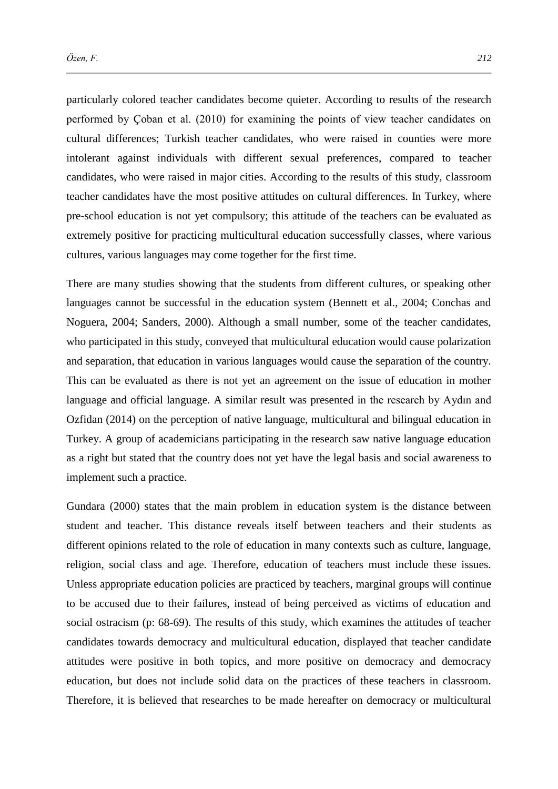particularly colored teacher candidates become quieter. According to results of the research performed by Çoban et al. (2010) for examining the points of view teacher candidates on cultural differences; Turkish teacher candidates, who were raised in counties were more intolerant against individuals with different sexual preferences, compared to teacher candidates, who were raised in major cities. According to the results of this study, classroom teacher candidates have the most positive attitudes on cultural differences. In Turkey, where pre-school education is not yet compulsory; this attitude of the teachers can be evaluated as extremely positive for practicing multicultural education successfully classes, where various cultures, various languages may come together for the first time.

There are many studies showing that the students from different cultures, or speaking other languages cannot be successful in the education system (Bennett et al., 2004; Conchas and Noguera, 2004; Sanders, 2000). Although a small number, some of the teacher candidates, who participated in this study, conveyed that multicultural education would cause polarization and separation, that education in various languages would cause the separation of the country. This can be evaluated as there is not yet an agreement on the issue of education in mother language and official language. A similar result was presented in the research by Aydın and Ozfidan (2014) on the perception of native language, multicultural and bilingual education in Turkey. A group of academicians participating in the research saw native language education as a right but stated that the country does not yet have the legal basis and social awareness to implement such a practice.

Gundara (2000) states that the main problem in education system is the distance between student and teacher. This distance reveals itself between teachers and their students as different opinions related to the role of education in many contexts such as culture, language, religion, social class and age. Therefore, education of teachers must include these issues. Unless appropriate education policies are practiced by teachers, marginal groups will continue to be accused due to their failures, instead of being perceived as victims of education and social ostracism (p: 68-69). The results of this study, which examines the attitudes of teacher candidates towards democracy and multicultural education, displayed that teacher candidate attitudes were positive in both topics, and more positive on democracy and democracy education, but does not include solid data on the practices of these teachers in classroom. Therefore, it is believed that researches to be made hereafter on democracy or multicultural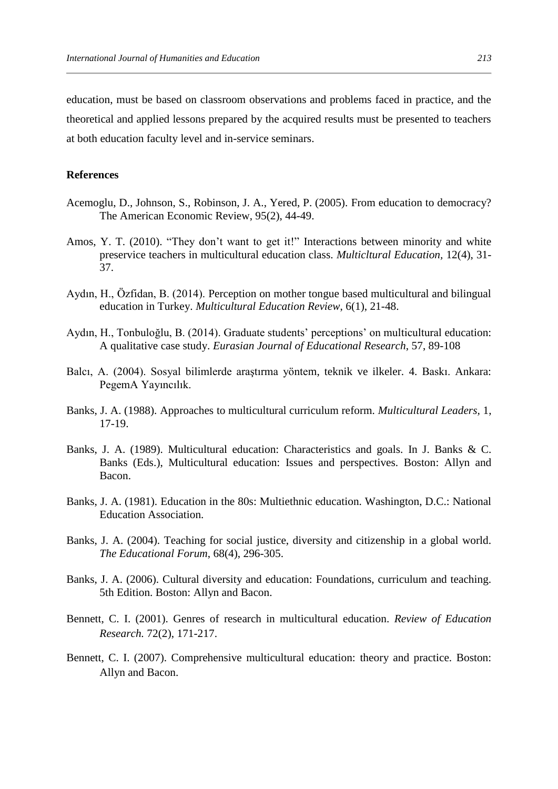education, must be based on classroom observations and problems faced in practice, and the theoretical and applied lessons prepared by the acquired results must be presented to teachers at both education faculty level and in-service seminars.

## **References**

- Acemoglu, D., Johnson, S., Robinson, J. A., Yered, P. (2005). From education to democracy? The American Economic Review, 95(2), 44-49.
- Amos, Y. T. (2010). "They don't want to get it!" Interactions between minority and white preservice teachers in multicultural education class. *Multicltural Education,* 12(4), 31- 37.
- Aydın, H., Özfidan, B. (2014). Perception on mother tongue based multicultural and bilingual education in Turkey. *Multicultural Education Review*, 6(1), 21-48.
- Aydın, H., Tonbuloğlu, B. (2014). Graduate students' perceptions' on multicultural education: A qualitative case study. *Eurasian Journal of Educational Research*, 57, 89-108
- Balcı, A. (2004). Sosyal bilimlerde araştırma yöntem, teknik ve ilkeler. 4. Baskı. Ankara: PegemA Yayıncılık.
- Banks, J. A. (1988). Approaches to multicultural curriculum reform. *Multicultural Leaders,* 1, 17-19.
- Banks, J. A. (1989). Multicultural education: Characteristics and goals. In J. Banks & C. Banks (Eds.), Multicultural education: Issues and perspectives. Boston: Allyn and Bacon.
- Banks, J. A. (1981). Education in the 80s: Multiethnic education. Washington, D.C.: National Education Association.
- Banks, J. A. (2004). Teaching for social justice, diversity and citizenship in a global world. *The Educational Forum*, 68(4), 296-305.
- Banks, J. A. (2006). Cultural diversity and education: Foundations, curriculum and teaching. 5th Edition. Boston: Allyn and Bacon.
- Bennett, C. I. (2001). Genres of research in multicultural education. *Review of Education Research.* 72(2), 171-217.
- Bennett, C. I. (2007). Comprehensive multicultural education: theory and practice. Boston: Allyn and Bacon.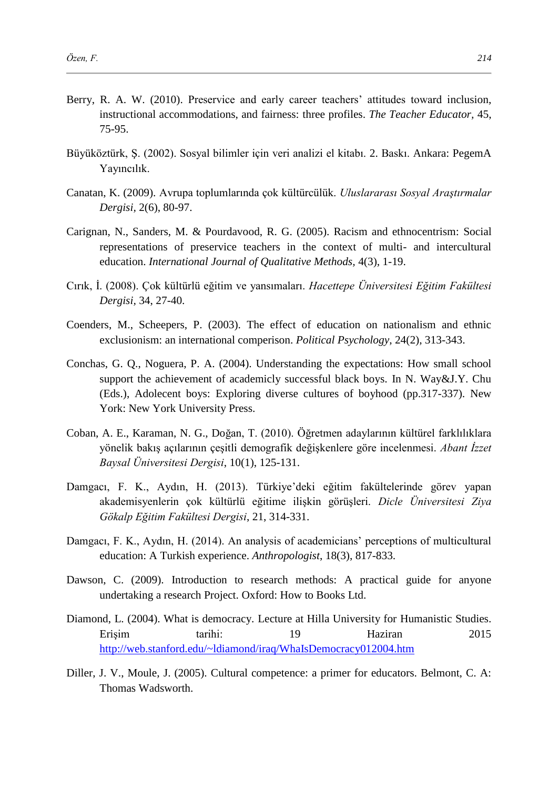- Berry, R. A. W. (2010). Preservice and early career teachers' attitudes toward inclusion, instructional accommodations, and fairness: three profiles. *The Teacher Educator,* 45, 75-95.
- Büyüköztürk, Ş. (2002). Sosyal bilimler için veri analizi el kitabı. 2. Baskı. Ankara: PegemA Yayıncılık.
- Canatan, K. (2009). Avrupa toplumlarında çok kültürcülük. *Uluslararası Sosyal Araştırmalar Dergisi,* 2(6), 80-97.
- Carignan, N., Sanders, M. & Pourdavood, R. G. (2005). Racism and ethnocentrism: Social representations of preservice teachers in the context of multi- and intercultural education. *International Journal of Qualitative Methods,* 4(3), 1-19.
- Cırık, İ. (2008). Çok kültürlü eğitim ve yansımaları. *Hacettepe Üniversitesi Eğitim Fakültesi Dergisi,* 34, 27-40.
- Coenders, M., Scheepers, P. (2003). The effect of education on nationalism and ethnic exclusionism: an international comperison. *Political Psychology*, 24(2), 313-343.
- Conchas, G. Q., Noguera, P. A. (2004). Understanding the expectations: How small school support the achievement of academicly successful black boys. In N. Way&J.Y. Chu (Eds.), Adolecent boys: Exploring diverse cultures of boyhood (pp.317-337). New York: New York University Press.
- Coban, A. E., Karaman, N. G., Doğan, T. (2010). Öğretmen adaylarının kültürel farklılıklara yönelik bakış açılarının çeşitli demografik değişkenlere göre incelenmesi. *Abant İzzet Baysal Üniversitesi Dergisi*, 10(1), 125-131.
- Damgacı, F. K., Aydın, H. (2013). Türkiye'deki eğitim fakültelerinde görev yapan akademisyenlerin çok kültürlü eğitime ilişkin görüşleri. *Dicle Üniversitesi Ziya Gökalp Eğitim Fakültesi Dergisi*, 21, 314-331.
- Damgacı, F. K., Aydın, H. (2014). An analysis of academicians' perceptions of multicultural education: A Turkish experience. *Anthropologist*, 18(3), 817-833.
- Dawson, C. (2009). Introduction to research methods: A practical guide for anyone undertaking a research Project. Oxford: How to Books Ltd.
- Diamond, L. (2004). What is democracy. Lecture at Hilla University for Humanistic Studies. Erişim tarihi: 19 Haziran 2015 <http://web.stanford.edu/~ldiamond/iraq/WhaIsDemocracy012004.htm>
- Diller, J. V., Moule, J. (2005). Cultural competence: a primer for educators. Belmont, C. A: Thomas Wadsworth.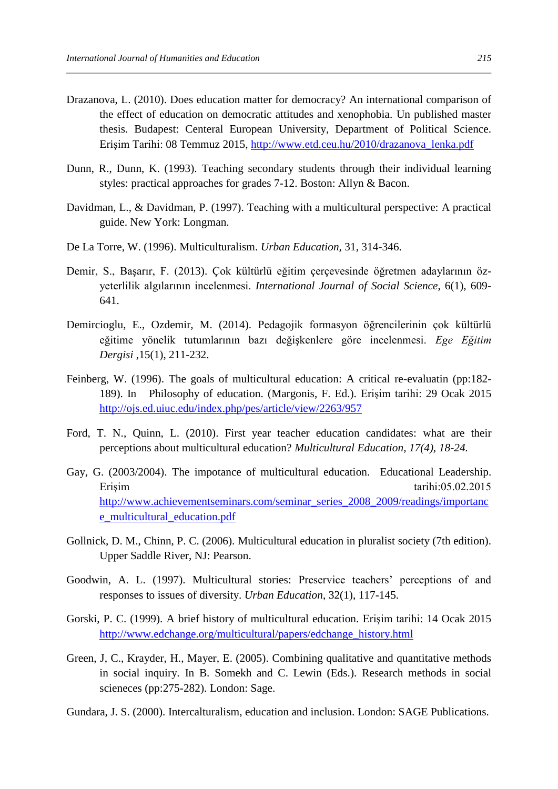- Drazanova, L. (2010). Does education matter for democracy? An international comparison of the effect of education on democratic attitudes and xenophobia. Un published master thesis. Budapest: Centeral European University, Department of Political Science. Erişim Tarihi: 08 Temmuz 2015, [http://www.etd.ceu.hu/2010/drazanova\\_lenka.pdf](http://www.etd.ceu.hu/2010/drazanova_lenka.pdf)
- Dunn, R., Dunn, K. (1993). Teaching secondary students through their individual learning styles: practical approaches for grades 7-12. Boston: Allyn & Bacon.
- Davidman, L., & Davidman, P. (1997). Teaching with a multicultural perspective: A practical guide. New York: Longman.
- De La Torre, W. (1996). Multiculturalism. *Urban Education,* 31, 314-346.
- Demir, S., Başarır, F. (2013). Çok kültürlü eğitim çerçevesinde öğretmen adaylarının özyeterlilik algılarının incelenmesi. *International Journal of Social Science*, 6(1), 609- 641.
- Demircioglu, E., Ozdemir, M. (2014). Pedagojik formasyon öğrencilerinin çok kültürlü eğitime yönelik tutumlarının bazı değişkenlere göre incelenmesi. *Ege Eğitim Dergisi* ,15(1), 211-232.
- Feinberg, W. (1996). The goals of multicultural education: A critical re-evaluatin (pp:182- 189). In Philosophy of education. (Margonis, F. Ed.). Erişim tarihi: 29 Ocak 2015 <http://ojs.ed.uiuc.edu/index.php/pes/article/view/2263/957>
- Ford, T. N., Quinn, L. (2010). First year teacher education candidates: what are their perceptions about multicultural education? *Multicultural Education, 17(4), 18-24.*
- Gay, G. (2003/2004). The impotance of multicultural education. Educational Leadership. Erişim tarihi:05.02.2015 [http://www.achievementseminars.com/seminar\\_series\\_2008\\_2009/readings/importanc](http://www.achievementseminars.com/seminar_series_2008_2009/readings/importance_multicultural_education.pdf) [e\\_multicultural\\_education.pdf](http://www.achievementseminars.com/seminar_series_2008_2009/readings/importance_multicultural_education.pdf)
- Gollnick, D. M., Chinn, P. C. (2006). Multicultural education in pluralist society (7th edition). Upper Saddle River, NJ: Pearson.
- Goodwin, A. L. (1997). Multicultural stories: Preservice teachers' perceptions of and responses to issues of diversity. *Urban Education*, 32(1), 117-145.
- Gorski, P. C. (1999). A brief history of multicultural education. Erişim tarihi: 14 Ocak 2015 [http://www.edchange.org/multicultural/papers/edchange\\_history.html](http://www.edchange.org/multicultural/papers/edchange_history.html)
- Green, J, C., Krayder, H., Mayer, E. (2005). Combining qualitative and quantitative methods in social inquiry. In B. Somekh and C. Lewin (Eds.). Research methods in social scieneces (pp:275-282). London: Sage.
- Gundara, J. S. (2000). Intercalturalism, education and inclusion. London: SAGE Publications.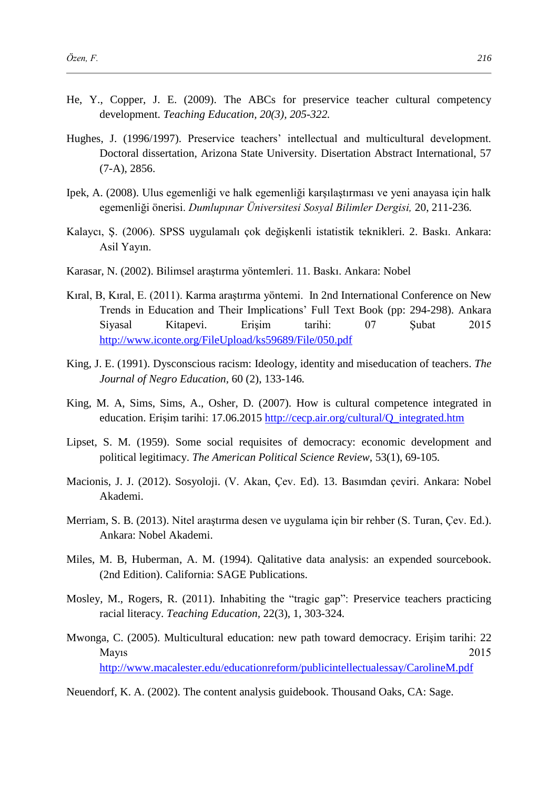- He, Y., Copper, J. E. (2009). The ABCs for preservice teacher cultural competency development. *Teaching Education, 20(3), 205-322.*
- Hughes, J. (1996/1997). Preservice teachers' intellectual and multicultural development. Doctoral dissertation, Arizona State University. Disertation Abstract International, 57 (7-A), 2856.
- Ipek, A. (2008). Ulus egemenliği ve halk egemenliği karşılaştırması ve yeni anayasa için halk egemenliği önerisi. *Dumlupınar Üniversitesi Sosyal Bilimler Dergisi,* 20, 211-236*.*
- Kalaycı, Ş. (2006). SPSS uygulamalı çok değişkenli istatistik teknikleri. 2. Baskı. Ankara: Asil Yayın.
- Karasar, N. (2002). Bilimsel araştırma yöntemleri. 11. Baskı. Ankara: Nobel
- Kıral, B, Kıral, E. (2011). Karma araştırma yöntemi. In 2nd International Conference on New Trends in Education and Their Implications' Full Text Book (pp: 294-298). Ankara Siyasal Kitapevi. Erişim tarihi: 07 Şubat 2015 <http://www.iconte.org/FileUpload/ks59689/File/050.pdf>
- King, J. E. (1991). Dysconscious racism: Ideology, identity and miseducation of teachers. *The Journal of Negro Education,* 60 (2), 133-146*.*
- King, M. A, Sims, Sims, A., Osher, D. (2007). How is cultural competence integrated in education. Erişim tarihi: 17.06.2015 [http://cecp.air.org/cultural/Q\\_integrated.htm](http://cecp.air.org/cultural/Q_integrated.htm)
- Lipset, S. M. (1959). Some social requisites of democracy: economic development and political legitimacy. *The American Political Science Review,* 53(1), 69-105*.*
- Macionis, J. J. (2012). Sosyoloji. (V. Akan, Çev. Ed). 13. Basımdan çeviri. Ankara: Nobel Akademi.
- Merriam, S. B. (2013). Nitel araştırma desen ve uygulama için bir rehber (S. Turan, Çev. Ed.). Ankara: Nobel Akademi.
- Miles, M. B, Huberman, A. M. (1994). Qalitative data analysis: an expended sourcebook. (2nd Edition). California: SAGE Publications.
- Mosley, M., Rogers, R. (2011). Inhabiting the "tragic gap": Preservice teachers practicing racial literacy. *Teaching Education,* 22(3), 1, 303-324*.*
- Mwonga, C. (2005). Multicultural education: new path toward democracy. Erişim tarihi: 22 Mayıs 2015 <http://www.macalester.edu/educationreform/publicintellectualessay/CarolineM.pdf>

Neuendorf, K. A. (2002). The content analysis guidebook. Thousand Oaks, CA: Sage.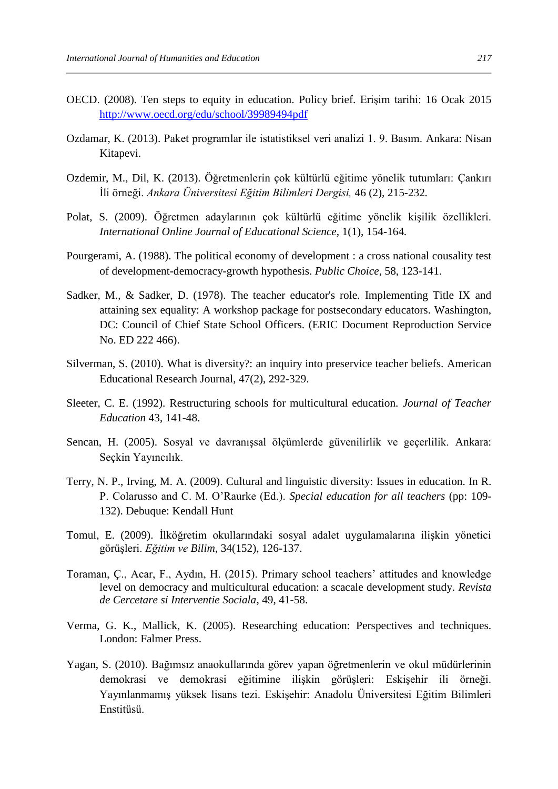- OECD. (2008). Ten steps to equity in education. Policy brief. Erişim tarihi: 16 Ocak 2015 <http://www.oecd.org/edu/school/39989494pdf>
- Ozdamar, K. (2013). Paket programlar ile istatistiksel veri analizi 1. 9. Basım. Ankara: Nisan Kitapevi.
- Ozdemir, M., Dil, K. (2013). Öğretmenlerin çok kültürlü eğitime yönelik tutumları: Çankırı İli örneği. *Ankara Üniversitesi Eğitim Bilimleri Dergisi,* 46 (2), 215-232*.*
- Polat, S. (2009). Öğretmen adaylarının çok kültürlü eğitime yönelik kişilik özellikleri. *International Online Journal of Educational Science,* 1(1), 154-164*.*
- Pourgerami, A. (1988). The political economy of development : a cross national cousality test of development-democracy-growth hypothesis. *Public Choice,* 58, 123-141.
- Sadker, M., & Sadker, D. (1978). The teacher educator's role. Implementing Title IX and attaining sex equality: A workshop package for postsecondary educators. Washington, DC: Council of Chief State School Officers. (ERIC Document Reproduction Service No. ED 222 466).
- Silverman, S. (2010). What is diversity?: an inquiry into preservice teacher beliefs. American Educational Research Journal, 47(2), 292-329.
- Sleeter, C. E. (1992). Restructuring schools for multicultural education. *Journal of Teacher Education* 43, 141-48.
- Sencan, H. (2005). Sosyal ve davranışsal ölçümlerde güvenilirlik ve geçerlilik. Ankara: Seçkin Yayıncılık.
- Terry, N. P., Irving, M. A. (2009). Cultural and linguistic diversity: Issues in education. In R. P. Colarusso and C. M. O'Raurke (Ed.). *Special education for all teachers* (pp: 109- 132). Debuque: Kendall Hunt
- Tomul, E. (2009). İlköğretim okullarındaki sosyal adalet uygulamalarına ilişkin yönetici görüşleri. *Eğitim ve Bilim*, 34(152), 126-137.
- Toraman, Ç., Acar, F., Aydın, H. (2015). Primary school teachers' attitudes and knowledge level on democracy and multicultural education: a scacale development study. *Revista de Cercetare si Interventie Sociala*, 49, 41-58.
- Verma, G. K., Mallick, K. (2005). Researching education: Perspectives and techniques. London: Falmer Press.
- Yagan, S. (2010). Bağımsız anaokullarında görev yapan öğretmenlerin ve okul müdürlerinin demokrasi ve demokrasi eğitimine ilişkin görüşleri: Eskişehir ili örneği. Yayınlanmamış yüksek lisans tezi. Eskişehir: Anadolu Üniversitesi Eğitim Bilimleri Enstitüsü.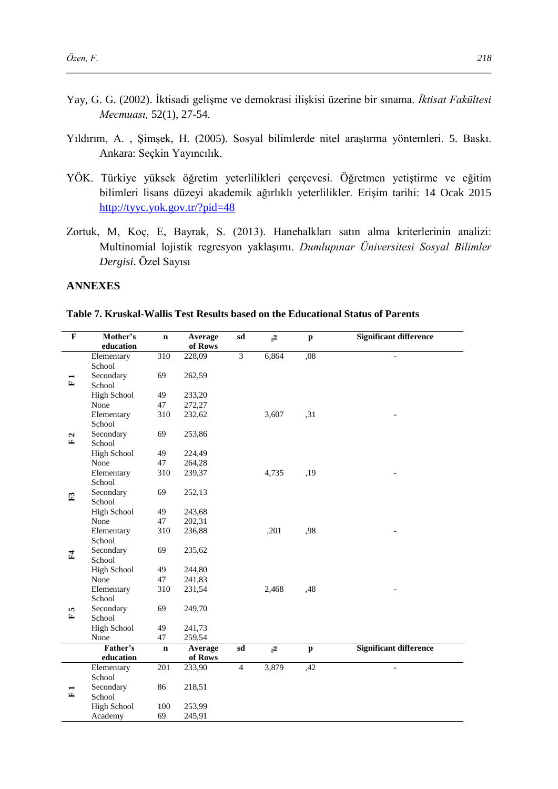- Yay, G. G. (2002). İktisadi gelişme ve demokrasi ilişkisi üzerine bir sınama. *İktisat Fakültesi Mecmuası,* 52(1), 27-54*.*
- Yıldırım, A. , Şimşek, H. (2005). Sosyal bilimlerde nitel araştırma yöntemleri. 5. Baskı. Ankara: Seçkin Yayıncılık.
- YÖK. Türkiye yüksek öğretim yeterlilikleri çerçevesi. Öğretmen yetiştirme ve eğitim bilimleri lisans düzeyi akademik ağırlıklı yeterlilikler. Erişim tarihi: 14 Ocak 2015 <http://tyyc.yok.gov.tr/?pid=48>
- Zortuk, M, Koç, E, Bayrak, S. (2013). Hanehalkları satın alma kriterlerinin analizi: Multinomial lojistik regresyon yaklaşımı. *Dumlupınar Üniversitesi Sosyal Bilimler Dergisi*. Özel Sayısı

# **ANNEXES**

**Table 7. Kruskal-Wallis Test Results based on the Educational Status of Parents**

| $\overline{\mathbf{F}}$ | Mother's                | $\mathbf n$ | Average           | sd             | $x^2$ | $\mathbf{p}$ | Significant difference        |
|-------------------------|-------------------------|-------------|-------------------|----------------|-------|--------------|-------------------------------|
|                         | education<br>Elementary | 310         | of Rows<br>228,09 | 3              | 6,864 | ,08          |                               |
|                         | School                  |             |                   |                |       |              |                               |
|                         | Secondary               | 69          | 262,59            |                |       |              |                               |
| Ŀ,                      | School                  |             |                   |                |       |              |                               |
|                         | <b>High School</b>      | 49          | 233,20            |                |       |              |                               |
|                         | None                    | 47          | 272,27            |                |       |              |                               |
|                         | Elementary              | 310         | 232,62            |                | 3,607 | , 31         |                               |
|                         | School                  |             |                   |                |       |              |                               |
| Z                       | Secondary               | 69          | 253,86            |                |       |              |                               |
| 1                       | School                  |             |                   |                |       |              |                               |
|                         | <b>High School</b>      | 49          | 224,49            |                |       |              |                               |
|                         | None                    | 47          | 264,28            |                |       |              |                               |
|                         | Elementary              | 310         | 239,37            |                | 4,735 | ,19          |                               |
|                         | School                  |             |                   |                |       |              |                               |
| E                       | Secondary               | 69          | 252,13            |                |       |              |                               |
|                         | School                  |             |                   |                |       |              |                               |
|                         | <b>High School</b>      | 49          | 243,68            |                |       |              |                               |
|                         | None                    | 47          | 202,31            |                |       |              |                               |
|                         | Elementary              | 310         | 236,88            |                | ,201  | ,98          |                               |
|                         | School                  |             |                   |                |       |              |                               |
| F <sub>4</sub>          | Secondary               | 69          | 235,62            |                |       |              |                               |
|                         | School                  |             |                   |                |       |              |                               |
|                         | <b>High School</b>      | 49          | 244,80            |                |       |              |                               |
|                         | None                    | 47          | 241,83            |                |       |              |                               |
|                         | Elementary<br>School    | 310         | 231,54            |                | 2,468 | ,48          |                               |
|                         | Secondary               | 69          | 249,70            |                |       |              |                               |
| S<br>E,                 | School                  |             |                   |                |       |              |                               |
|                         | <b>High School</b>      | 49          | 241,73            |                |       |              |                               |
|                         | None                    | 47          | 259,54            |                |       |              |                               |
|                         | Father's                | $\mathbf n$ | Average           | sd             | $x^2$ | $\mathbf{p}$ | <b>Significant difference</b> |
|                         | education               |             | of Rows           |                |       |              |                               |
|                         | Elementary              | 201         | 233,90            | $\overline{4}$ | 3,879 | ,42          |                               |
|                         | School                  |             |                   |                |       |              |                               |
|                         | Secondary               | 86          | 218,51            |                |       |              |                               |
| E                       | School                  |             |                   |                |       |              |                               |
|                         | <b>High School</b>      | 100         | 253,99            |                |       |              |                               |
|                         | Academy                 | 69          | 245,91            |                |       |              |                               |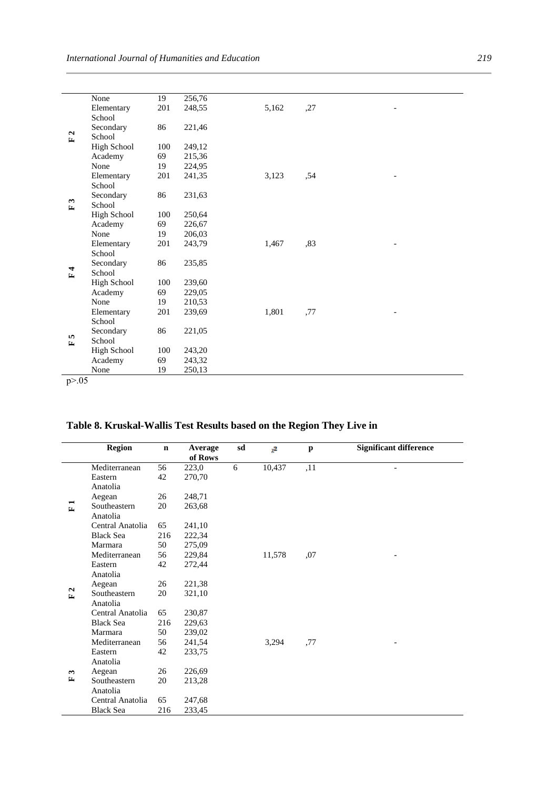|                                    | None               | 19  | 256,76 |       |     |  |  |
|------------------------------------|--------------------|-----|--------|-------|-----|--|--|
| $\mathbf{a}$<br>$\square$          | Elementary         | 201 | 248,55 | 5,162 | ,27 |  |  |
|                                    | School             |     |        |       |     |  |  |
|                                    | Secondary          | 86  | 221,46 |       |     |  |  |
|                                    | School             |     |        |       |     |  |  |
|                                    | High School        | 100 | 249,12 |       |     |  |  |
|                                    | Academy            | 69  | 215,36 |       |     |  |  |
|                                    | None               | 19  | 224,95 |       |     |  |  |
|                                    | Elementary         | 201 | 241,35 | 3,123 | ,54 |  |  |
|                                    | School             |     |        |       |     |  |  |
|                                    | Secondary          | 86  | 231,63 |       |     |  |  |
| $\boldsymbol{\omega}$<br>$\square$ | School             |     |        |       |     |  |  |
|                                    | <b>High School</b> | 100 | 250,64 |       |     |  |  |
| $\mathbf{F}$                       | Academy            | 69  | 226,67 |       |     |  |  |
|                                    | None               | 19  | 206,03 |       |     |  |  |
|                                    | Elementary         | 201 | 243,79 | 1,467 | .83 |  |  |
|                                    | School             |     |        |       |     |  |  |
|                                    | Secondary          | 86  | 235,85 |       |     |  |  |
|                                    | School             |     |        |       |     |  |  |
|                                    | <b>High School</b> | 100 | 239,60 |       |     |  |  |
|                                    | Academy            | 69  | 229,05 |       |     |  |  |
|                                    | None               | 19  | 210,53 |       |     |  |  |
| <b>In</b><br>$\mathbf{r}$          | Elementary         | 201 | 239,69 | 1,801 | ,77 |  |  |
|                                    | School             |     |        |       |     |  |  |
|                                    | Secondary          | 86  | 221,05 |       |     |  |  |
|                                    | School             |     |        |       |     |  |  |
|                                    | High School        | 100 | 243,20 |       |     |  |  |
|                                    | Academy            | 69  | 243,32 |       |     |  |  |
|                                    | None               | 19  | 250,13 |       |     |  |  |
| p > 0.05                           |                    |     |        |       |     |  |  |

# **Table 8. Kruskal-Wallis Test Results based on the Region They Live in**

|                              | <b>Region</b>    | $\mathbf n$ | Average<br>of Rows | sd | $x^2$  | p   | <b>Significant difference</b> |
|------------------------------|------------------|-------------|--------------------|----|--------|-----|-------------------------------|
| $\square$                    | Mediterranean    | 56          | 223,0              | 6  | 10,437 | ,11 |                               |
|                              | Eastern          | 42          | 270,70             |    |        |     |                               |
|                              | Anatolia         |             |                    |    |        |     |                               |
|                              | Aegean           | 26          | 248,71             |    |        |     |                               |
|                              | Southeastern     | 20          | 263,68             |    |        |     |                               |
|                              | Anatolia         |             |                    |    |        |     |                               |
|                              | Central Anatolia | 65          | 241,10             |    |        |     |                               |
|                              | <b>Black Sea</b> | 216         | 222,34             |    |        |     |                               |
|                              | Marmara          | 50          | 275,09             |    |        |     |                               |
| $\mathbf{a}$<br>$\mathbf{r}$ | Mediterranean    | 56          | 229,84             |    | 11,578 | ,07 |                               |
|                              | Eastern          | 42          | 272,44             |    |        |     |                               |
|                              | Anatolia         |             |                    |    |        |     |                               |
|                              | Aegean           | 26          | 221,38             |    |        |     |                               |
|                              | Southeastern     | 20          | 321,10             |    |        |     |                               |
|                              | Anatolia         |             |                    |    |        |     |                               |
|                              | Central Anatolia | 65          | 230,87             |    |        |     |                               |
|                              | <b>Black Sea</b> | 216         | 229,63             |    |        |     |                               |
|                              | Marmara          | 50          | 239,02             |    |        |     |                               |
|                              | Mediterranean    | 56          | 241,54             |    | 3,294  | ,77 |                               |
| $\boldsymbol{\omega}$<br>E,  | Eastern          | 42          | 233,75             |    |        |     |                               |
|                              | Anatolia         |             |                    |    |        |     |                               |
|                              | Aegean           | 26          | 226,69             |    |        |     |                               |
|                              | Southeastern     | 20          | 213,28             |    |        |     |                               |
|                              | Anatolia         |             |                    |    |        |     |                               |
|                              | Central Anatolia | 65          | 247,68             |    |        |     |                               |
|                              | <b>Black Sea</b> | 216         | 233,45             |    |        |     |                               |